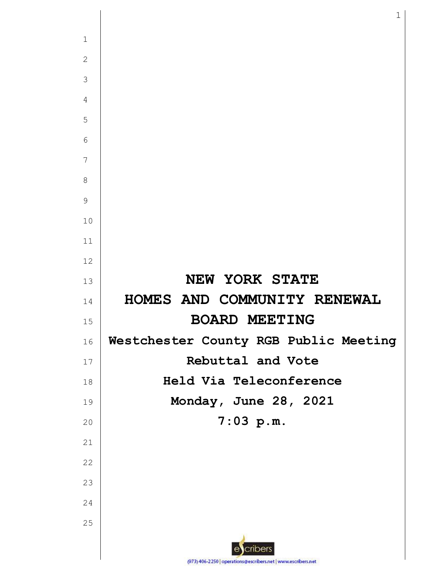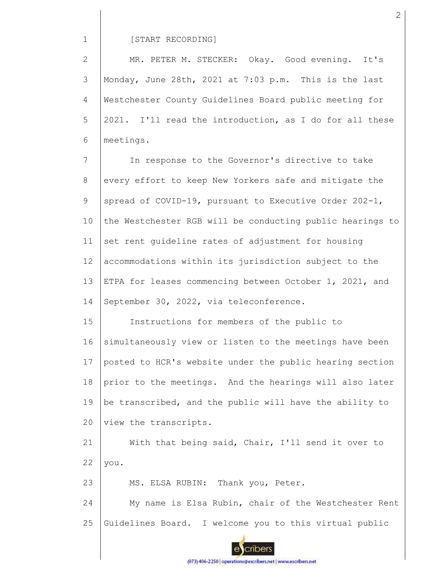#### [START RECORDING]

2 3 4 5 6 MR. PETER M. STECKER: Okay. Good evening. It's Monday, June 28th, 2021 at 7:03 p.m. This is the last Westchester County Guidelines Board public meeting for 2021. I'll read the introduction, as I do for all these meetings.

7 8 9 10 11 12 13 14 In response to the Governor's directive to take every effort to keep New Yorkers safe and mitigate the spread of COVID-19, pursuant to Executive Order 202-1, the Westchester RGB will be conducting public hearings to set rent guideline rates of adjustment for housing accommodations within its jurisdiction subject to the ETPA for leases commencing between October 1, 2021, and September 30, 2022, via teleconference.

15 16 17 18 19 20 Instructions for members of the public to simultaneously view or listen to the meetings have been posted to HCR's website under the public hearing section prior to the meetings. And the hearings will also later be transcribed, and the public will have the ability to view the transcripts.

21 22 With that being said, Chair, I'll send it over to you.

23 MS. ELSA RUBIN: Thank you, Peter.

24 25 My name is Elsa Rubin, chair of the Westchester Rent Guidelines Board. I welcome you to this virtual public



(973) 406-2250 | operations@escribers.net | www.escribers.net

2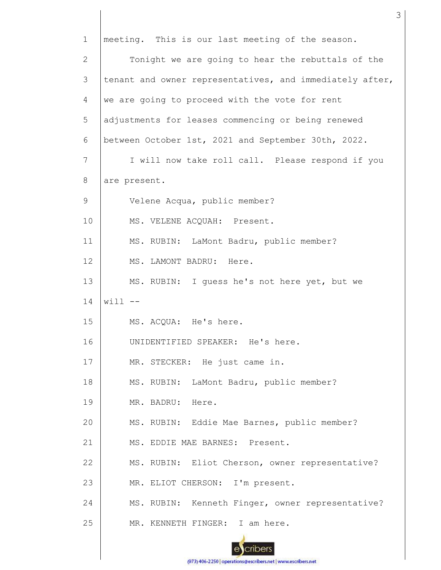1 2 3 4 5 6 7 8 9 10 11 12 13 14 15 16 17 18 19 20 21 22 23 24 25 meeting. This is our last meeting of the season. Tonight we are going to hear the rebuttals of the tenant and owner representatives, and immediately after, we are going to proceed with the vote for rent adjustments for leases commencing or being renewed between October 1st, 2021 and September 30th, 2022. I will now take roll call. Please respond if you are present. Velene Acqua, public member? MS. VELENE ACQUAH: Present. MS. RUBIN: LaMont Badru, public member? MS. LAMONT BADRU: Here. MS. RUBIN: I guess he's not here yet, but we  $will$   $--$ MS. ACQUA: He's here. UNIDENTIFIED SPEAKER: He's here. MR. STECKER: He just came in. MS. RUBIN: LaMont Badru, public member? MR. BADRU: Here. MS. RUBIN: Eddie Mae Barnes, public member? MS. EDDIE MAE BARNES: Present. MS. RUBIN: Eliot Cherson, owner representative? MR. ELIOT CHERSON: I'm present. MS. RUBIN: Kenneth Finger, owner representative? MR. KENNETH FINGER: I am here.

3

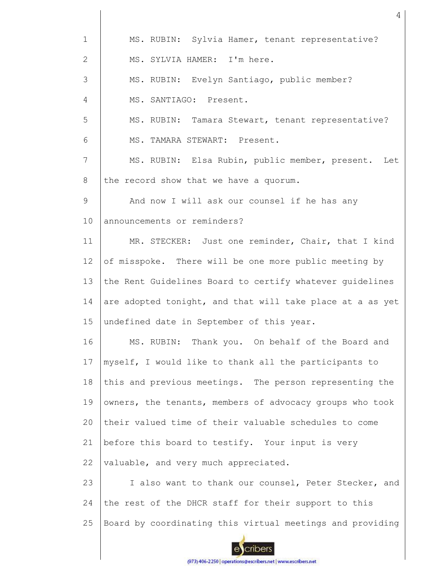| $\mathbf 1$    | MS. RUBIN: Sylvia Hamer, tenant representative?           |
|----------------|-----------------------------------------------------------|
| $\overline{2}$ | MS. SYLVIA HAMER: I'm here.                               |
| 3              | MS. RUBIN: Evelyn Santiago, public member?                |
| $\overline{4}$ | MS. SANTIAGO: Present.                                    |
| 5              | MS. RUBIN: Tamara Stewart, tenant representative?         |
| 6              | MS. TAMARA STEWART: Present.                              |
| 7              | MS. RUBIN: Elsa Rubin, public member, present. Let        |
| 8              | the record show that we have a quorum.                    |
| 9              | And now I will ask our counsel if he has any              |
| 10             | announcements or reminders?                               |
| 11             | MR. STECKER: Just one reminder, Chair, that I kind        |
| 12             | of misspoke. There will be one more public meeting by     |
| 13             | the Rent Guidelines Board to certify whatever guidelines  |
| 14             | are adopted tonight, and that will take place at a as yet |
| 15             | undefined date in September of this year.                 |
| 16             | MS. RUBIN: Thank you. On behalf of the Board and          |
| 17             | myself, I would like to thank all the participants to     |
| 18             | this and previous meetings. The person representing the   |
| 19             | owners, the tenants, members of advocacy groups who took  |
| 20             | their valued time of their valuable schedules to come     |
| 21             | before this board to testify. Your input is very          |
| 22             | valuable, and very much appreciated.                      |
| 23             | I also want to thank our counsel, Peter Stecker, and      |
| 24             | the rest of the DHCR staff for their support to this      |
| 25             | Board by coordinating this virtual meetings and providing |
|                |                                                           |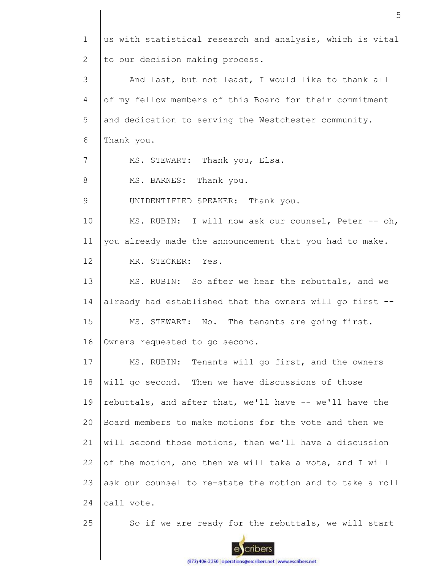1 2 3 4 5 6 7 8 9 10 11 12 13 14 15 16 17 18 19  $20$ 21 22 23 24 25 us with statistical research and analysis, which is vital to our decision making process. And last, but not least, I would like to thank all of my fellow members of this Board for their commitment and dedication to serving the Westchester community. Thank you. MS. STEWART: Thank you, Elsa. MS. BARNES: Thank you. UNIDENTIFIED SPEAKER: Thank you. MS. RUBIN: I will now ask our counsel, Peter -- oh, you already made the announcement that you had to make. MR. STECKER: Yes. MS. RUBIN: So after we hear the rebuttals, and we already had established that the owners will go first -- MS. STEWART: No. The tenants are going first. Owners requested to go second. MS. RUBIN: Tenants will go first, and the owners will go second. Then we have discussions of those rebuttals, and after that, we'll have -- we'll have the Board members to make motions for the vote and then we will second those motions, then we'll have a discussion of the motion, and then we will take a vote, and I will ask our counsel to re-state the motion and to take a roll call vote. So if we are ready for the rebuttals, we will start

cribers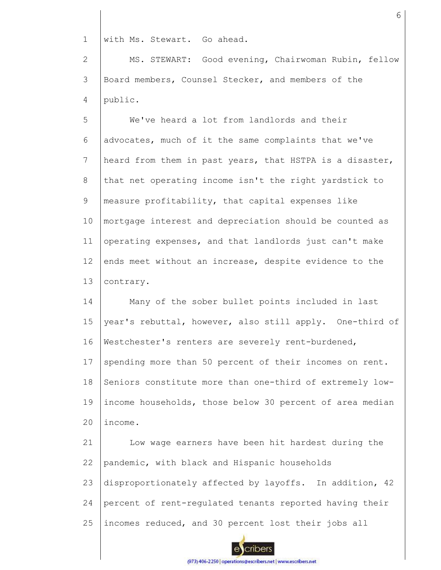1 with Ms. Stewart. Go ahead.

2 3 4 MS. STEWART: Good evening, Chairwoman Rubin, fellow Board members, Counsel Stecker, and members of the public.

5 6 7 8 9 10 11 12 13 We've heard a lot from landlords and their advocates, much of it the same complaints that we've heard from them in past years, that HSTPA is a disaster, that net operating income isn't the right yardstick to measure profitability, that capital expenses like mortgage interest and depreciation should be counted as operating expenses, and that landlords just can't make ends meet without an increase, despite evidence to the contrary.

14 15 16 17 18 19  $20$ Many of the sober bullet points included in last year's rebuttal, however, also still apply. One-third of Westchester's renters are severely rent-burdened, spending more than 50 percent of their incomes on rent. Seniors constitute more than one-third of extremely lowincome households, those below 30 percent of area median income.

21 22 23 24 25 Low wage earners have been hit hardest during the pandemic, with black and Hispanic households disproportionately affected by layoffs. In addition, 42 percent of rent-regulated tenants reported having their incomes reduced, and 30 percent lost their jobs all

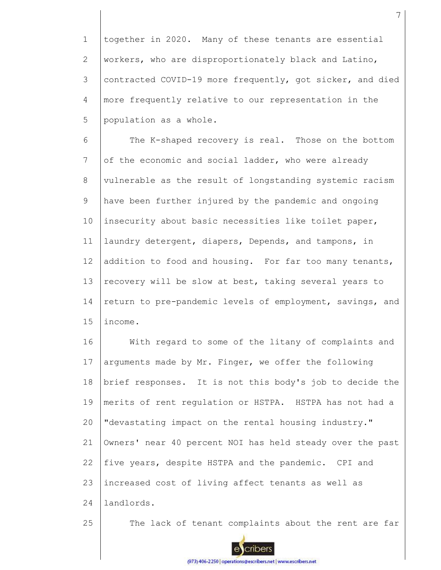1 2 3 4 5 together in 2020. Many of these tenants are essential workers, who are disproportionately black and Latino, contracted COVID-19 more frequently, got sicker, and died more frequently relative to our representation in the population as a whole.

6 7 8 9 10 11 12 13 14 15 The K-shaped recovery is real. Those on the bottom of the economic and social ladder, who were already vulnerable as the result of longstanding systemic racism have been further injured by the pandemic and ongoing insecurity about basic necessities like toilet paper, laundry detergent, diapers, Depends, and tampons, in addition to food and housing. For far too many tenants, recovery will be slow at best, taking several years to return to pre-pandemic levels of employment, savings, and income.

16 17 18 19 20 21 22 23 24 With regard to some of the litany of complaints and arguments made by Mr. Finger, we offer the following brief responses. It is not this body's job to decide the merits of rent regulation or HSTPA. HSTPA has not had a "devastating impact on the rental housing industry." Owners' near 40 percent NOI has held steady over the past five years, despite HSTPA and the pandemic. CPI and increased cost of living affect tenants as well as landlords.

25

The lack of tenant complaints about the rent are far





enbers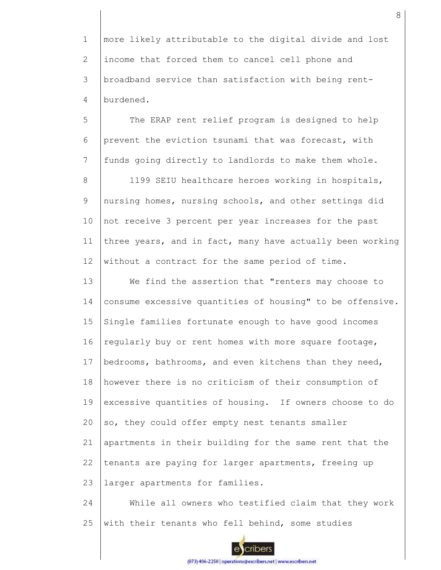1 2 3 4 more likely attributable to the digital divide and lost income that forced them to cancel cell phone and broadband service than satisfaction with being rentburdened.

5 6 7 8 9 10 11 12 The ERAP rent relief program is designed to help prevent the eviction tsunami that was forecast, with funds going directly to landlords to make them whole. 1199 SEIU healthcare heroes working in hospitals, nursing homes, nursing schools, and other settings did not receive 3 percent per year increases for the past three years, and in fact, many have actually been working without a contract for the same period of time.

13 14 15 16 17 18 19 20 21 22 23 We find the assertion that "renters may choose to consume excessive quantities of housing" to be offensive. Single families fortunate enough to have good incomes regularly buy or rent homes with more square footage, bedrooms, bathrooms, and even kitchens than they need, however there is no criticism of their consumption of excessive quantities of housing. If owners choose to do so, they could offer empty nest tenants smaller apartments in their building for the same rent that the tenants are paying for larger apartments, freeing up larger apartments for families.

24 25 While all owners who testified claim that they work with their tenants who fell behind, some studies

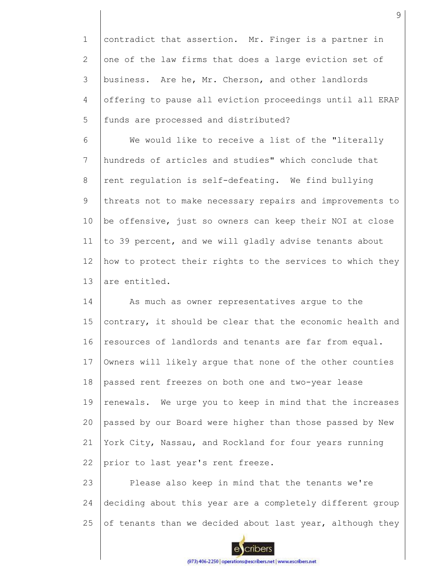1 2 3 4 5 contradict that assertion. Mr. Finger is a partner in one of the law firms that does a large eviction set of business. Are he, Mr. Cherson, and other landlords offering to pause all eviction proceedings until all ERAP funds are processed and distributed?

6 7 8 9 10 11 12 13 We would like to receive a list of the "literally hundreds of articles and studies" which conclude that rent regulation is self-defeating. We find bullying threats not to make necessary repairs and improvements to be offensive, just so owners can keep their NOI at close to 39 percent, and we will gladly advise tenants about how to protect their rights to the services to which they are entitled.

14 15 16 17 18 19 20 21 22 As much as owner representatives argue to the contrary, it should be clear that the economic health and resources of landlords and tenants are far from equal. Owners will likely argue that none of the other counties passed rent freezes on both one and two-year lease renewals. We urge you to keep in mind that the increases passed by our Board were higher than those passed by New York City, Nassau, and Rockland for four years running prior to last year's rent freeze.

23 24 25 Please also keep in mind that the tenants we're deciding about this year are a completely different group of tenants than we decided about last year, although they



cribers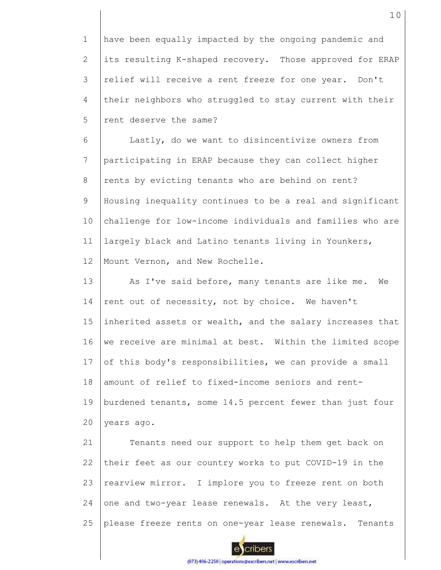1 2 3 4 5 have been equally impacted by the ongoing pandemic and its resulting K-shaped recovery. Those approved for ERAP relief will receive a rent freeze for one year. Don't their neighbors who struggled to stay current with their rent deserve the same?

6 7 8 9 10 11 12 Lastly, do we want to disincentivize owners from participating in ERAP because they can collect higher rents by evicting tenants who are behind on rent? Housing inequality continues to be a real and significant challenge for low-income individuals and families who are largely black and Latino tenants living in Younkers, Mount Vernon, and New Rochelle.

13 14 15 16 17 18 19 20 As I've said before, many tenants are like me. We rent out of necessity, not by choice. We haven't inherited assets or wealth, and the salary increases that we receive are minimal at best. Within the limited scope of this body's responsibilities, we can provide a small amount of relief to fixed-income seniors and rentburdened tenants, some 14.5 percent fewer than just four years ago.

21 22 23 24 25 Tenants need our support to help them get back on their feet as our country works to put COVID-19 in the rearview mirror. I implore you to freeze rent on both one and two-year lease renewals. At the very least, please freeze rents on one-year lease renewals. Tenants

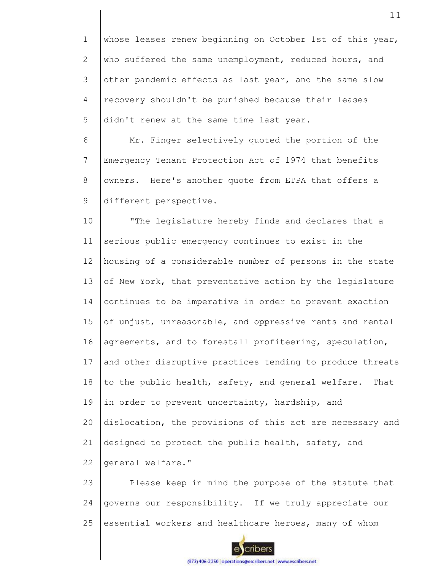1 2 3 4 5 whose leases renew beginning on October 1st of this year, who suffered the same unemployment, reduced hours, and other pandemic effects as last year, and the same slow recovery shouldn't be punished because their leases didn't renew at the same time last year.

6 7 8 9 Mr. Finger selectively quoted the portion of the Emergency Tenant Protection Act of 1974 that benefits owners. Here's another quote from ETPA that offers a different perspective.

10 11 12 13 14 15 16 17 18 19 20 21 22 "The legislature hereby finds and declares that a serious public emergency continues to exist in the housing of a considerable number of persons in the state of New York, that preventative action by the legislature continues to be imperative in order to prevent exaction of unjust, unreasonable, and oppressive rents and rental agreements, and to forestall profiteering, speculation, and other disruptive practices tending to produce threats to the public health, safety, and general welfare. That in order to prevent uncertainty, hardship, and dislocation, the provisions of this act are necessary and designed to protect the public health, safety, and general welfare."

23 24 25 Please keep in mind the purpose of the statute that governs our responsibility. If we truly appreciate our essential workers and healthcare heroes, many of whom

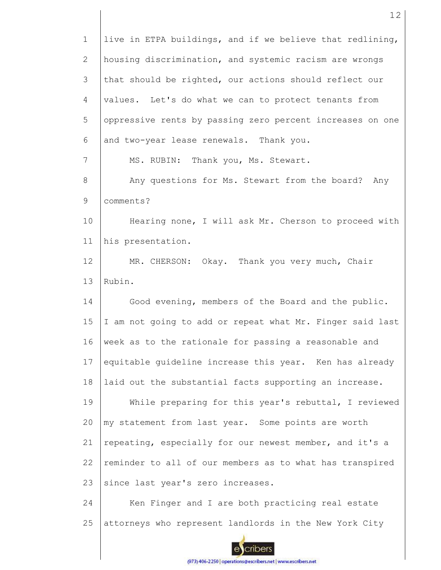| $\mathbf 1$     | live in ETPA buildings, and if we believe that redlining, |
|-----------------|-----------------------------------------------------------|
| $\overline{2}$  | housing discrimination, and systemic racism are wrongs    |
| 3               | that should be righted, our actions should reflect our    |
| 4               | values. Let's do what we can to protect tenants from      |
| 5               | oppressive rents by passing zero percent increases on one |
| 6               | and two-year lease renewals. Thank you.                   |
| $\overline{7}$  | MS. RUBIN: Thank you, Ms. Stewart.                        |
| 8               | Any questions for Ms. Stewart from the board? Any         |
| 9               | comments?                                                 |
| 10              | Hearing none, I will ask Mr. Cherson to proceed with      |
| 11              | his presentation.                                         |
| 12 <sup>°</sup> | MR. CHERSON: Okay. Thank you very much, Chair             |
| 13              | Rubin.                                                    |
| 14              | Good evening, members of the Board and the public.        |
| 15              | I am not going to add or repeat what Mr. Finger said last |
| 16              | week as to the rationale for passing a reasonable and     |
| 17              | equitable guideline increase this year. Ken has already   |
| 18              | laid out the substantial facts supporting an increase.    |
| 19              | While preparing for this year's rebuttal, I reviewed      |
| 20              | my statement from last year. Some points are worth        |
| 21              | repeating, especially for our newest member, and it's a   |
| 22              | reminder to all of our members as to what has transpired  |
| 23              | since last year's zero increases.                         |
| 24              | Ken Finger and I are both practicing real estate          |
| 25              | attorneys who represent landlords in the New York City    |
|                 |                                                           |

ecribers (973) 406-2250 | operations@escribers.net | www.escribers.net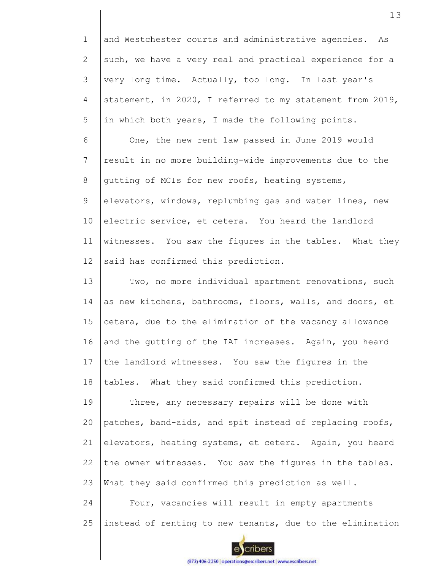1 2 3 4 5 and Westchester courts and administrative agencies. As such, we have a very real and practical experience for a very long time. Actually, too long. In last year's statement, in 2020, I referred to my statement from 2019, in which both years, I made the following points.

6 7 8 9 10 11 12 One, the new rent law passed in June 2019 would result in no more building-wide improvements due to the gutting of MCIs for new roofs, heating systems, elevators, windows, replumbing gas and water lines, new electric service, et cetera. You heard the landlord witnesses. You saw the figures in the tables. What they said has confirmed this prediction.

13 14 15 16 17 18 Two, no more individual apartment renovations, such as new kitchens, bathrooms, floors, walls, and doors, et cetera, due to the elimination of the vacancy allowance and the gutting of the IAI increases. Again, you heard the landlord witnesses. You saw the figures in the tables. What they said confirmed this prediction.

19 20 21 22 23 Three, any necessary repairs will be done with patches, band-aids, and spit instead of replacing roofs, elevators, heating systems, et cetera. Again, you heard the owner witnesses. You saw the figures in the tables. What they said confirmed this prediction as well.

24 25 Four, vacancies will result in empty apartments instead of renting to new tenants, due to the elimination



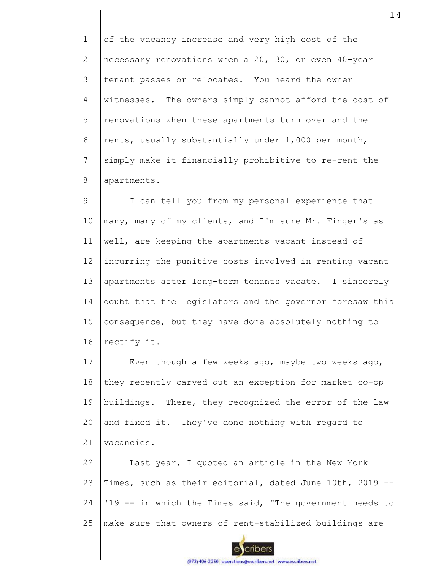1 2 3 4 5 6 7 8 of the vacancy increase and very high cost of the necessary renovations when a 20, 30, or even 40-year tenant passes or relocates. You heard the owner witnesses. The owners simply cannot afford the cost of renovations when these apartments turn over and the rents, usually substantially under 1,000 per month, simply make it financially prohibitive to re-rent the apartments.

9 10 11 12 13 14 15 16 I can tell you from my personal experience that many, many of my clients, and I'm sure Mr. Finger's as well, are keeping the apartments vacant instead of incurring the punitive costs involved in renting vacant apartments after long-term tenants vacate. I sincerely doubt that the legislators and the governor foresaw this consequence, but they have done absolutely nothing to rectify it.

17 18 19 20 21 Even though a few weeks ago, maybe two weeks ago, they recently carved out an exception for market co-op buildings. There, they recognized the error of the law and fixed it. They've done nothing with regard to vacancies.

22 23 24 25 Last year, I quoted an article in the New York Times, such as their editorial, dated June 10th, 2019 -- '19 -- in which the Times said, "The government needs to make sure that owners of rent-stabilized buildings are

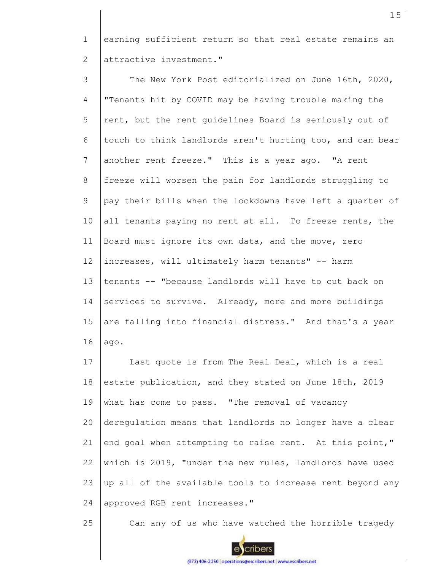1 2 earning sufficient return so that real estate remains an attractive investment."

3 4 5 6 7 8 9 10 11 12 13 14 15 16 The New York Post editorialized on June 16th, 2020, "Tenants hit by COVID may be having trouble making the rent, but the rent guidelines Board is seriously out of touch to think landlords aren't hurting too, and can bear another rent freeze." This is a year ago. "A rent freeze will worsen the pain for landlords struggling to pay their bills when the lockdowns have left a quarter of all tenants paying no rent at all. To freeze rents, the Board must ignore its own data, and the move, zero increases, will ultimately harm tenants" -- harm tenants -- "because landlords will have to cut back on services to survive. Already, more and more buildings are falling into financial distress." And that's a year ago.

17 18 19 20 21 22 23 24 Last quote is from The Real Deal, which is a real estate publication, and they stated on June 18th, 2019 what has come to pass. "The removal of vacancy deregulation means that landlords no longer have a clear end goal when attempting to raise rent. At this point," which is 2019, "under the new rules, landlords have used up all of the available tools to increase rent beyond any approved RGB rent increases."

25



Can any of us who have watched the horrible tragedy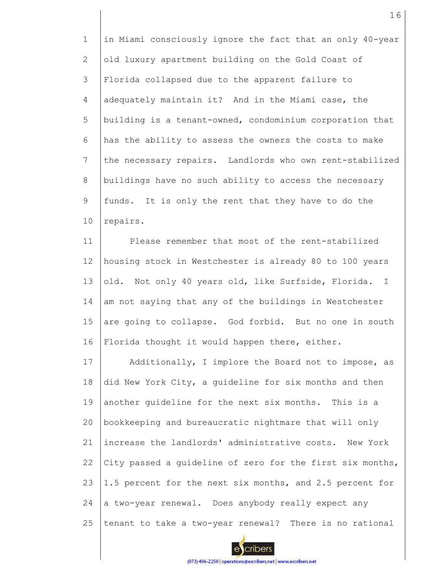1 2 3 4 5 6 7 8 9 10 in Miami consciously ignore the fact that an only 40-year old luxury apartment building on the Gold Coast of Florida collapsed due to the apparent failure to adequately maintain it? And in the Miami case, the building is a tenant-owned, condominium corporation that has the ability to assess the owners the costs to make the necessary repairs. Landlords who own rent-stabilized buildings have no such ability to access the necessary funds. It is only the rent that they have to do the repairs.

11 12 13 14 15 16 Please remember that most of the rent-stabilized housing stock in Westchester is already 80 to 100 years old. Not only 40 years old, like Surfside, Florida. I am not saying that any of the buildings in Westchester are going to collapse. God forbid. But no one in south Florida thought it would happen there, either.

17 18 19 20 21 22 23 24 25 Additionally, I implore the Board not to impose, as did New York City, a guideline for six months and then another guideline for the next six months. This is a bookkeeping and bureaucratic nightmare that will only increase the landlords' administrative costs. New York City passed a guideline of zero for the first six months, 1.5 percent for the next six months, and 2.5 percent for a two-year renewal. Does anybody really expect any tenant to take a two-year renewal? There is no rational

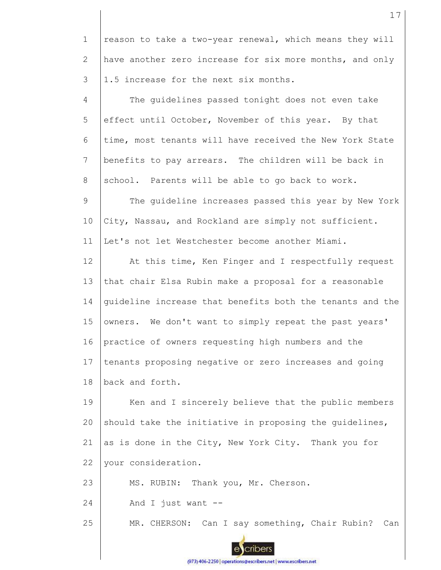1 2 3 reason to take a two-year renewal, which means they will have another zero increase for six more months, and only 1.5 increase for the next six months.

4 5 6 7 8 The guidelines passed tonight does not even take effect until October, November of this year. By that time, most tenants will have received the New York State benefits to pay arrears. The children will be back in school. Parents will be able to go back to work.

9 10 11 The guideline increases passed this year by New York City, Nassau, and Rockland are simply not sufficient. Let's not let Westchester become another Miami.

12 13 14 15 16 17 18 At this time, Ken Finger and I respectfully request that chair Elsa Rubin make a proposal for a reasonable guideline increase that benefits both the tenants and the owners. We don't want to simply repeat the past years' practice of owners requesting high numbers and the tenants proposing negative or zero increases and going back and forth.

19 20 21 22 Ken and I sincerely believe that the public members should take the initiative in proposing the guidelines, as is done in the City, New York City. Thank you for your consideration.

23 MS. RUBIN: Thank you, Mr. Cherson.

24 And I just want  $--$ 

25 MR. CHERSON: Can I say something, Chair Rubin? Can

17



cribers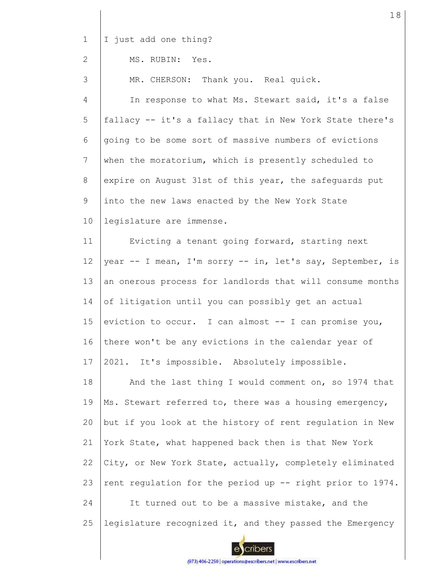1 I just add one thing?

#### 2 MS. RUBIN: Yes.

3 MR. CHERSON: Thank you. Real quick.

4 5 6 7 8 9 10 In response to what Ms. Stewart said, it's a false fallacy -- it's a fallacy that in New York State there's going to be some sort of massive numbers of evictions when the moratorium, which is presently scheduled to expire on August 31st of this year, the safeguards put into the new laws enacted by the New York State legislature are immense.

11 12 13 14 15 16 17 Evicting a tenant going forward, starting next year -- I mean, I'm sorry -- in, let's say, September, is an onerous process for landlords that will consume months of litigation until you can possibly get an actual eviction to occur. I can almost -- I can promise you, there won't be any evictions in the calendar year of 2021. It's impossible. Absolutely impossible.

18 19 20 21 22 23 24 25 And the last thing I would comment on, so 1974 that Ms. Stewart referred to, there was a housing emergency, but if you look at the history of rent regulation in New York State, what happened back then is that New York City, or New York State, actually, completely eliminated rent regulation for the period up -- right prior to 1974. It turned out to be a massive mistake, and the legislature recognized it, and they passed the Emergency

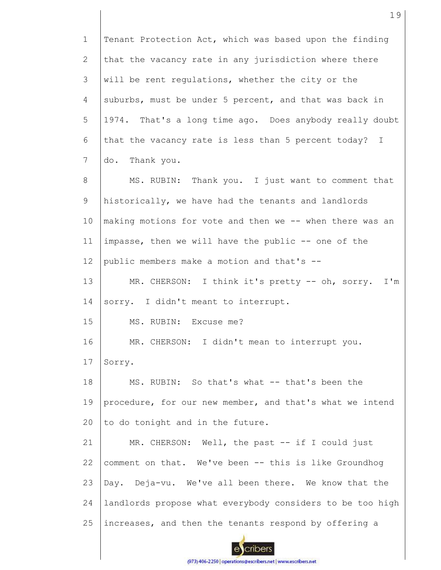1 2 3 4 5 6 7 8 9 10 11 12 13 14 15 16 17 18 19 20 21 22 23 24 25 Tenant Protection Act, which was based upon the finding that the vacancy rate in any jurisdiction where there will be rent regulations, whether the city or the suburbs, must be under 5 percent, and that was back in 1974. That's a long time ago. Does anybody really doubt that the vacancy rate is less than 5 percent today? I do. Thank you. MS. RUBIN: Thank you. I just want to comment that historically, we have had the tenants and landlords making motions for vote and then we -- when there was an impasse, then we will have the public -- one of the public members make a motion and that's -- MR. CHERSON: I think it's pretty -- oh, sorry. I'm sorry. I didn't meant to interrupt. MS. RUBIN: Excuse me? MR. CHERSON: I didn't mean to interrupt you. Sorry. MS. RUBIN: So that's what -- that's been the procedure, for our new member, and that's what we intend to do tonight and in the future. MR. CHERSON: Well, the past -- if I could just comment on that. We've been -- this is like Groundhog Day. Deja-vu. We've all been there. We know that the landlords propose what everybody considers to be too high increases, and then the tenants respond by offering a

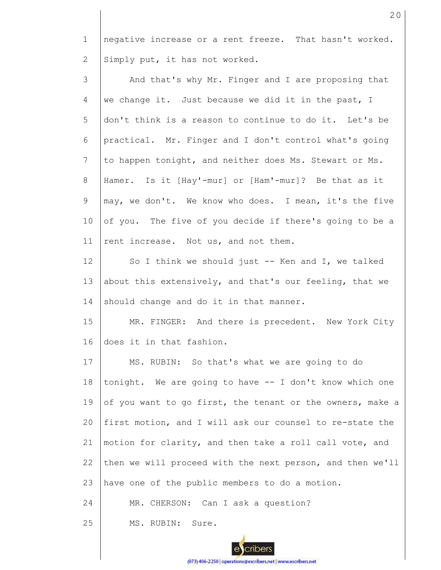1 2 negative increase or a rent freeze. That hasn't worked. Simply put, it has not worked.

| 3  | And that's why Mr. Finger and I are proposing that        |
|----|-----------------------------------------------------------|
| 4  | we change it. Just because we did it in the past, I       |
| 5  | don't think is a reason to continue to do it. Let's be    |
| 6  | practical. Mr. Finger and I don't control what's going    |
| 7  | to happen tonight, and neither does Ms. Stewart or Ms.    |
| 8  | Hamer. Is it [Hay'-mur] or [Ham'-mur]? Be that as it      |
| 9  | may, we don't. We know who does. I mean, it's the five    |
| 10 | of you. The five of you decide if there's going to be a   |
| 11 | rent increase. Not us, and not them.                      |
| 12 | So I think we should just $-$ Ken and I, we talked        |
| 13 | about this extensively, and that's our feeling, that we   |
| 14 | should change and do it in that manner.                   |
| 15 | MR. FINGER: And there is precedent. New York City         |
| 16 | does it in that fashion.                                  |
| 17 | MS. RUBIN: So that's what we are going to do              |
| 18 | tonight. We are going to have -- I don't know which one   |
| 19 | of you want to go first, the tenant or the owners, make a |
| 20 | first motion, and I will ask our counsel to re-state the  |
| 21 | motion for clarity, and then take a roll call vote, and   |
| 22 | then we will proceed with the next person, and then we'll |
| 23 | have one of the public members to do a motion.            |
| 24 | MR. CHERSON: Can I ask a question?                        |
| 25 | MS. RUBIN:<br>Sure.                                       |

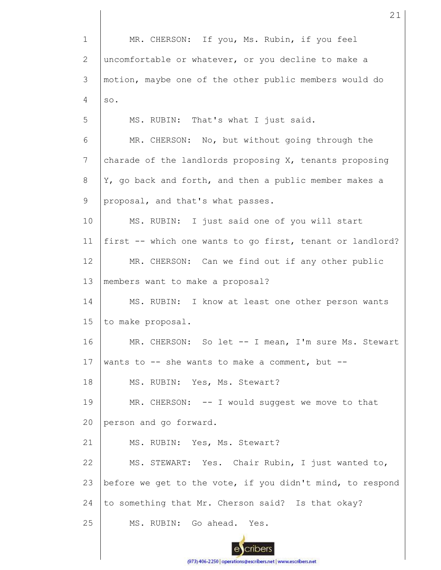1 MR. CHERSON: If you, Ms. Rubin, if you feel 2 uncomfortable or whatever, or you decline to make a 3 motion, maybe one of the other public members would do 4 so. 5 MS. RUBIN: That's what I just said. 6 MR. CHERSON: No, but without going through the 7 charade of the landlords proposing X, tenants proposing Y, go back and forth, and then a public member makes a 8 9 proposal, and that's what passes. 10 MS. RUBIN: I just said one of you will start first -- which one wants to go first, tenant or landlord? 11 12 MR. CHERSON: Can we find out if any other public 13 members want to make a proposal? 14 MS. RUBIN: I know at least one other person wants 15 to make proposal. 16 MR. CHERSON: So let -- I mean, I'm sure Ms. Stewart 17 wants to  $-$  she wants to make a comment, but  $-$ 18 MS. RUBIN: Yes, Ms. Stewart? 19  $MR.$  CHERSON:  $--$  I would suggest we move to that 20 person and go forward. 21 MS. RUBIN: Yes, Ms. Stewart? MS. STEWART: Yes. Chair Rubin, I just wanted to, 22 23 before we get to the vote, if you didn't mind, to respond 24 to something that Mr. Cherson said? Is that okay? 25 MS. RUBIN: Go ahead. Yes. cribers

21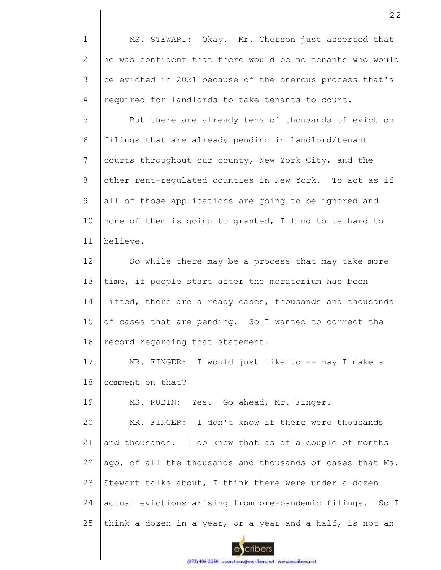1 2 3 4 MS. STEWART: Okay. Mr. Cherson just asserted that he was confident that there would be no tenants who would be evicted in 2021 because of the onerous process that's required for landlords to take tenants to court.

5 6 7 8 9 10 11 But there are already tens of thousands of eviction filings that are already pending in landlord/tenant courts throughout our county, New York City, and the other rent-regulated counties in New York. To act as if all of those applications are going to be ignored and none of them is going to granted, I find to be hard to believe.

12 13 14 15 16 So while there may be a process that may take more time, if people start after the moratorium has been lifted, there are already cases, thousands and thousands of cases that are pending. So I wanted to correct the record regarding that statement.

17 18 MR. FINGER: I would just like to -- may I make a comment on that?

19 MS. RUBIN: Yes. Go ahead, Mr. Finger.

20 21 22 23 24 25 MR. FINGER: I don't know if there were thousands and thousands. I do know that as of a couple of months ago, of all the thousands and thousands of cases that Ms. Stewart talks about, I think there were under a dozen actual evictions arising from pre-pandemic filings. So I think a dozen in a year, or a year and a half, is not an

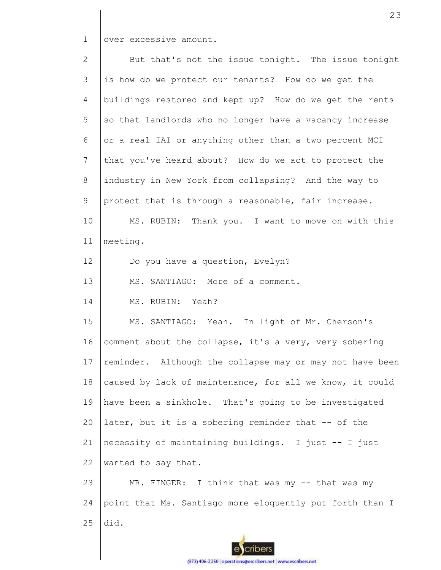1 over excessive amount.

2 3 4 5 6 7 8 9 10 11 12 13 14 15 16 17 18 19 20 21 22 23 24 25 But that's not the issue tonight. The issue tonight is how do we protect our tenants? How do we get the buildings restored and kept up? How do we get the rents so that landlords who no longer have a vacancy increase or a real IAI or anything other than a two percent MCI that you've heard about? How do we act to protect the industry in New York from collapsing? And the way to protect that is through a reasonable, fair increase. MS. RUBIN: Thank you. I want to move on with this meeting. Do you have a question, Evelyn? MS. SANTIAGO: More of a comment. MS. RUBIN: Yeah? MS. SANTIAGO: Yeah. In light of Mr. Cherson's comment about the collapse, it's a very, very sobering reminder. Although the collapse may or may not have been caused by lack of maintenance, for all we know, it could have been a sinkhole. That's going to be investigated later, but it is a sobering reminder that -- of the necessity of maintaining buildings. I just -- I just wanted to say that. MR. FINGER: I think that was my -- that was my point that Ms. Santiago more eloquently put forth than I did.

23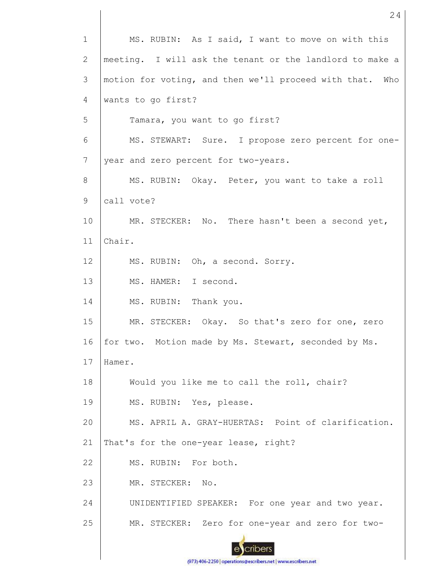| $\mathbf{1}$ | MS. RUBIN: As I said, I want to move on with this        |
|--------------|----------------------------------------------------------|
| 2            | meeting. I will ask the tenant or the landlord to make a |
| 3            | motion for voting, and then we'll proceed with that. Who |
| 4            | wants to go first?                                       |
| 5            | Tamara, you want to go first?                            |
| 6            | MS. STEWART: Sure. I propose zero percent for one-       |
| 7            | year and zero percent for two-years.                     |
| 8            | MS. RUBIN: Okay. Peter, you want to take a roll          |
| 9            | call vote?                                               |
| 10           | MR. STECKER: No. There hasn't been a second yet,         |
| 11           | Chair.                                                   |
| 12           | MS. RUBIN: Oh, a second. Sorry.                          |
| 13           | MS. HAMER: I second.                                     |
| 14           | MS. RUBIN: Thank you.                                    |
| 15           | MR. STECKER: Okay. So that's zero for one, zero          |
| 16           | for two. Motion made by Ms. Stewart, seconded by Ms.     |
| 17           | Hamer.                                                   |
| 18           | Would you like me to call the roll, chair?               |
| 19           | MS. RUBIN: Yes, please.                                  |
| 20           | MS. APRIL A. GRAY-HUERTAS: Point of clarification.       |
| 21           | That's for the one-year lease, right?                    |
| 22           | MS. RUBIN: For both.                                     |
| 23           | MR. STECKER:<br>No.                                      |
| 24           | UNIDENTIFIED SPEAKER: For one year and two year.         |
| 25           | MR. STECKER: Zero for one-year and zero for two-         |
|              |                                                          |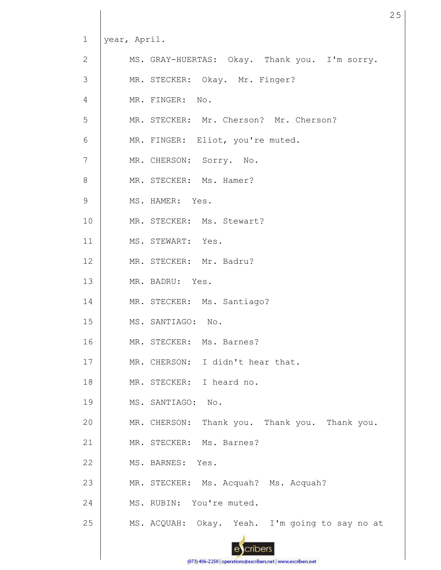| $\mathbf 1$    | year, April. |                                                |
|----------------|--------------|------------------------------------------------|
| $\mathbf{2}$   |              | MS. GRAY-HUERTAS: Okay. Thank you. I'm sorry.  |
| $\mathfrak{Z}$ |              | MR. STECKER: Okay. Mr. Finger?                 |
| $\overline{4}$ |              | MR. FINGER: No.                                |
| 5              |              | MR. STECKER: Mr. Cherson? Mr. Cherson?         |
| 6              |              | MR. FINGER: Eliot, you're muted.               |
| $\overline{7}$ |              | MR. CHERSON: Sorry. No.                        |
| 8              |              | MR. STECKER: Ms. Hamer?                        |
| 9              |              | MS. HAMER: Yes.                                |
| 10             |              | MR. STECKER: Ms. Stewart?                      |
| 11             |              | MS. STEWART: Yes.                              |
| 12             |              | MR. STECKER: Mr. Badru?                        |
| 13             |              | MR. BADRU: Yes.                                |
| 14             |              | MR. STECKER: Ms. Santiago?                     |
| 15             |              | MS. SANTIAGO: No.                              |
| 16             |              | MR. STECKER: Ms. Barnes?                       |
| 17             |              | MR. CHERSON: I didn't hear that.               |
| 18             |              | MR. STECKER: I heard no.                       |
| 19             |              | MS. SANTIAGO: No.                              |
| 20             |              | MR. CHERSON: Thank you. Thank you. Thank you.  |
| 21             |              | MR. STECKER: Ms. Barnes?                       |
| 22             |              | MS. BARNES: Yes.                               |
| 23             |              | MR. STECKER: Ms. Acquah? Ms. Acquah?           |
| 24             |              | MS. RUBIN: You're muted.                       |
| 25             |              | MS. ACQUAH: Okay. Yeah. I'm going to say no at |
|                |              |                                                |

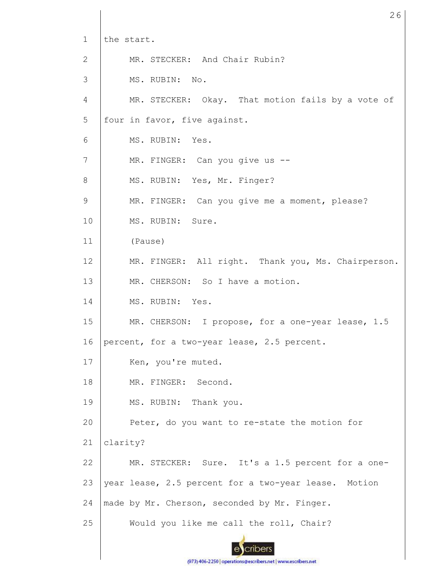| $\mathbf{1}$ | the start.                                           |
|--------------|------------------------------------------------------|
| $\mathbf{2}$ | MR. STECKER: And Chair Rubin?                        |
| 3            | MS. RUBIN: No.                                       |
| 4            | MR. STECKER: Okay. That motion fails by a vote of    |
| 5            | four in favor, five against.                         |
| 6            | MS. RUBIN: Yes.                                      |
| 7            | MR. FINGER: Can you give us --                       |
| $8\,$        | MS. RUBIN: Yes, Mr. Finger?                          |
| 9            | MR. FINGER: Can you give me a moment, please?        |
| 10           | MS. RUBIN: Sure.                                     |
| 11           | (Pause)                                              |
| 12           | MR. FINGER: All right. Thank you, Ms. Chairperson.   |
| 13           | MR. CHERSON: So I have a motion.                     |
| 14           | MS. RUBIN: Yes.                                      |
| 15           | MR. CHERSON: I propose, for a one-year lease, 1.5    |
| 16           | percent, for a two-year lease, 2.5 percent.          |
| 17           | Ken, you're muted.                                   |
| 18           | MR. FINGER: Second.                                  |
| 19           | MS. RUBIN: Thank you.                                |
| 20           | Peter, do you want to re-state the motion for        |
| 21           | clarity?                                             |
| 22           | MR. STECKER: Sure. It's a 1.5 percent for a one-     |
| 23           | year lease, 2.5 percent for a two-year lease. Motion |
| 24           | made by Mr. Cherson, seconded by Mr. Finger.         |
| 25           | Would you like me call the roll, Chair?              |
|              |                                                      |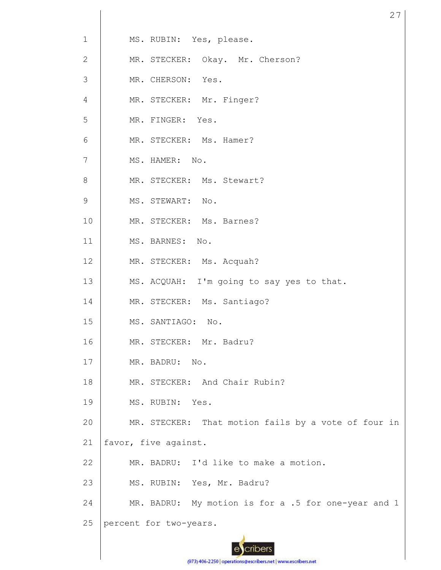| $\mathbf{1}$   | MS. RUBIN: Yes, please.                             |
|----------------|-----------------------------------------------------|
| 2              | MR. STECKER: Okay. Mr. Cherson?                     |
| 3              | MR. CHERSON: Yes.                                   |
| $\overline{4}$ | MR. STECKER: Mr. Finger?                            |
| 5              | MR. FINGER: Yes.                                    |
| 6              | MR. STECKER: Ms. Hamer?                             |
| $7\phantom{.}$ | MS. HAMER: No.                                      |
| 8              | MR. STECKER: Ms. Stewart?                           |
| 9              | MS. STEWART: No.                                    |
| 10             | MR. STECKER: Ms. Barnes?                            |
| 11             | MS. BARNES: No.                                     |
| 12             | MR. STECKER: Ms. Acquah?                            |
| 13             | MS. ACQUAH: I'm going to say yes to that.           |
| 14             | MR. STECKER: Ms. Santiago?                          |
| 15             | MS. SANTIAGO: No.                                   |
| 16             | MR. STECKER: Mr. Badru?                             |
| 17             | MR. BADRU: No.                                      |
| 18             | MR. STECKER: And Chair Rubin?                       |
| 19             | MS. RUBIN: Yes.                                     |
| 20             | MR. STECKER: That motion fails by a vote of four in |
| 21             | favor, five against.                                |
| 22             | MR. BADRU: I'd like to make a motion.               |
| 23             | MS. RUBIN: Yes, Mr. Badru?                          |
| 24             | MR. BADRU: My motion is for a .5 for one-year and 1 |
| 25             | percent for two-years.                              |
|                |                                                     |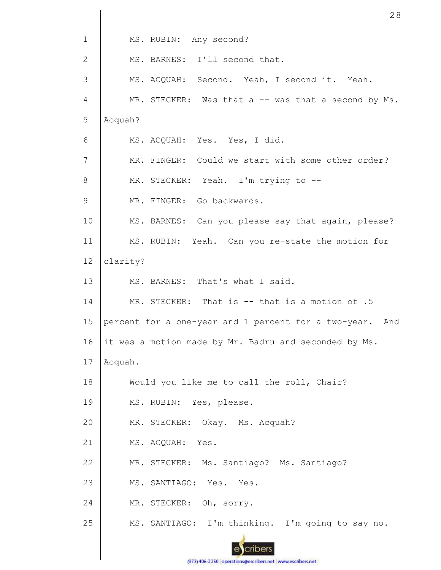| $\mathbf 1$  | MS. RUBIN: Any second?                                      |
|--------------|-------------------------------------------------------------|
| $\mathbf{2}$ | MS. BARNES: I'll second that.                               |
| 3            | MS. ACQUAH: Second. Yeah, I second it. Yeah.                |
| 4            | MR. STECKER: Was that a -- was that a second by Ms.         |
| 5            | Acquah?                                                     |
| 6            | MS. ACQUAH: Yes. Yes, I did.                                |
| 7            | MR. FINGER: Could we start with some other order?           |
| 8            | MR. STECKER: Yeah. I'm trying to --                         |
| 9            | MR. FINGER: Go backwards.                                   |
| 10           | MS. BARNES: Can you please say that again, please?          |
| 11           | MS. RUBIN: Yeah. Can you re-state the motion for            |
| 12           | clarity?                                                    |
| 13           | MS. BARNES: That's what I said.                             |
| 14           | MR. STECKER: That is -- that is a motion of .5              |
| 15           | percent for a one-year and 1 percent for a two-year.<br>And |
| 16           | it was a motion made by Mr. Badru and seconded by Ms.       |
| 17           | Acquah.                                                     |
| 18           | Would you like me to call the roll, Chair?                  |
| 19           | MS. RUBIN: Yes, please.                                     |
| 20           | MR. STECKER: Okay. Ms. Acquah?                              |
| 21           | MS. ACQUAH: Yes.                                            |
| 22           | MR. STECKER: Ms. Santiago? Ms. Santiago?                    |
| 23           | MS. SANTIAGO: Yes. Yes.                                     |
| 24           | MR. STECKER: Oh, sorry.                                     |
| 25           | MS. SANTIAGO: I'm thinking. I'm going to say no.            |
|              | cribers                                                     |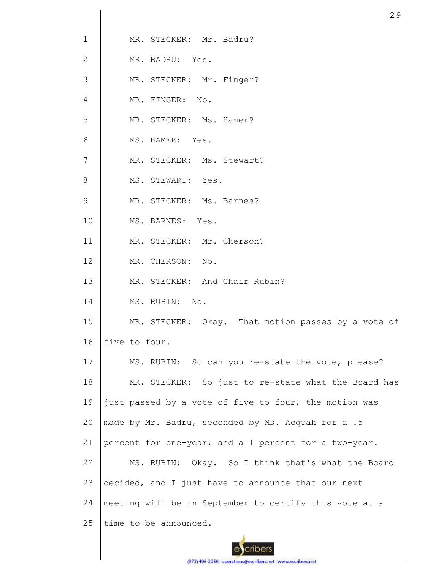| $\mathbf 1$    | MR. STECKER: Mr. Badru?                                |
|----------------|--------------------------------------------------------|
| 2              | MR. BADRU: Yes.                                        |
| 3              | MR. STECKER: Mr. Finger?                               |
| 4              | MR. FINGER: No.                                        |
| 5              | MR. STECKER: Ms. Hamer?                                |
| 6              | MS. HAMER: Yes.                                        |
| $\overline{7}$ | MR. STECKER: Ms. Stewart?                              |
| 8              | MS. STEWART: Yes.                                      |
| 9              | MR. STECKER: Ms. Barnes?                               |
| 10             | MS. BARNES: Yes.                                       |
| 11             | MR. STECKER: Mr. Cherson?                              |
| 12             | MR. CHERSON: No.                                       |
| 13             | MR. STECKER: And Chair Rubin?                          |
| 14             | MS. RUBIN: No.                                         |
| 15             | MR. STECKER: Okay. That motion passes by a vote of     |
| 16             | five to four.                                          |
| 17             | MS. RUBIN: So can you re-state the vote, please?       |
| 18             | MR. STECKER: So just to re-state what the Board has    |
| 19             | just passed by a vote of five to four, the motion was  |
| 20             | made by Mr. Badru, seconded by Ms. Acquah for a .5     |
| 21             | percent for one-year, and a 1 percent for a two-year.  |
| 22             | MS. RUBIN: Okay. So I think that's what the Board      |
| 23             | decided, and I just have to announce that our next     |
| 24             | meeting will be in September to certify this vote at a |
| 25             | time to be announced.                                  |
|                |                                                        |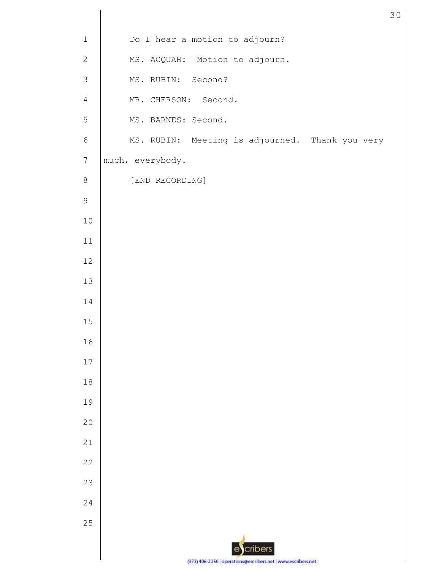| $\mathbf 1$    | Do I hear a motion to adjourn?                  |
|----------------|-------------------------------------------------|
| $\mathbf{2}$   | MS. ACQUAH: Motion to adjourn.                  |
| $\mathfrak{Z}$ | MS. RUBIN: Second?                              |
| $\overline{4}$ | MR. CHERSON: Second.                            |
| $\mathsf S$    | MS. BARNES: Second.                             |
| $\sqrt{6}$     | MS. RUBIN: Meeting is adjourned. Thank you very |
| $\sqrt{}$      | much, everybody.                                |
| $\,8\,$        | [END RECORDING]                                 |
| $\mathsf 9$    |                                                 |
| $10$           |                                                 |
| $11\,$         |                                                 |
| 12             |                                                 |
| $13$           |                                                 |
| 14             |                                                 |
| 15             |                                                 |
| 16             |                                                 |
| $17\,$         |                                                 |
| $18\,$         |                                                 |
| 19             |                                                 |
| 20             |                                                 |
| 21             |                                                 |
| 22             |                                                 |
| 23             |                                                 |
| 24             |                                                 |
| 25             |                                                 |
|                | escribers                                       |
|                | <b>G72) 404 22501</b>                           |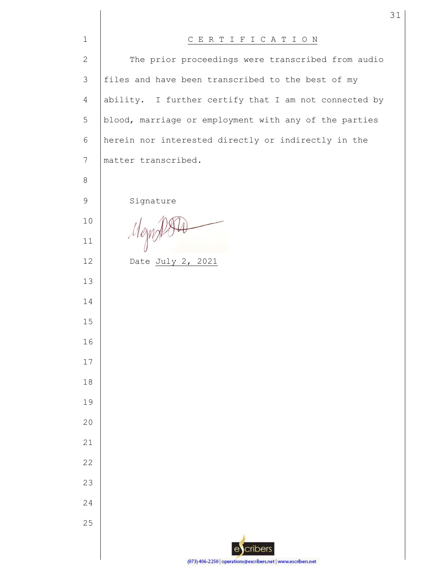| $\mathbf{1}$   | CERTIFICATION                                                 |
|----------------|---------------------------------------------------------------|
| $\mathbf{2}$   | The prior proceedings were transcribed from audio             |
| 3              | files and have been transcribed to the best of my             |
| $\overline{4}$ | ability. I further certify that I am not connected by         |
| 5              | blood, marriage or employment with any of the parties         |
| 6              | herein nor interested directly or indirectly in the           |
| 7              | matter transcribed.                                           |
| 8              |                                                               |
| $\mathsf 9$    | Signature                                                     |
| 10             |                                                               |
| 11             | Mem                                                           |
| 12             | Date July 2, 2021                                             |
| 13             |                                                               |
| 14             |                                                               |
| 15             |                                                               |
| 16             |                                                               |
| 17             |                                                               |
| 18             |                                                               |
| 19             |                                                               |
| 20             |                                                               |
| 21             |                                                               |
| 22             |                                                               |
| 23             |                                                               |
| 24             |                                                               |
| 25             |                                                               |
|                | cribers<br>e                                                  |
|                | (973) 406-2250   operations@escribers.net   www.escribers.net |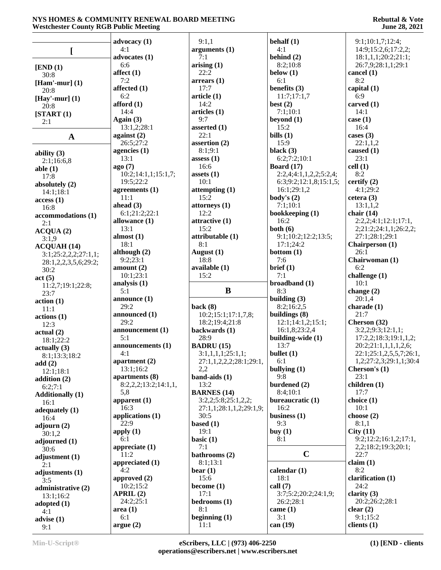|                         |                      |                         | behalf $(1)$           |                           |
|-------------------------|----------------------|-------------------------|------------------------|---------------------------|
|                         | advocacy $(1)$       | 9:1,1                   |                        | 9:1;10:1,7;12:4;          |
| [                       | 4:1                  | arguments (1)           | 4:1                    | 14:9;15:2,6;17:2,2;       |
|                         | advocates (1)        | 7:1                     | behind $(2)$           | 18:1,1,1;20:2;21:1;       |
| [END (1)]               | 6:6                  | arising(1)              | 8:2;10:8               | 26:7,9;28:1,1;29:1        |
| 30:8                    | affect $(1)$         | 22:2                    | below $(1)$            | cancel $(1)$              |
| [Ham'-mur] $(1)$        | 7:2                  | arrears(1)              | 6:1                    | 8:2                       |
| 20:8                    | affected (1)         | 17:7                    | benefits $(3)$         | capital $(1)$             |
| [Hay'-mur] $(1)$        | 6:2                  | article <sub>(1)</sub>  | 11:7;17:1,7            | 6:9                       |
| 20:8                    | afford (1)           | 14:2                    | best $(2)$             | carved $(1)$              |
| [START (1)]             | 14:4                 | articles (1)            | 7:1;10:1               | 14:1                      |
| 2:1                     | Again (3)            | 9:7                     | beyond $(1)$           | case $(1)$                |
|                         | 13:1,2;28:1          | asserted (1)            | 15:2                   | 16:4                      |
| $\mathbf{A}$            | against (2)          | 22:1                    | bills $(1)$            | cases $(3)$               |
|                         | 26:5;27:2            | assertion (2)           | 15:9                   | 22:1,1,2                  |
| ability $(3)$           | agencies (1)         | 8:1;9:1                 | black $(3)$            | caused $(1)$              |
| 2:1;16:6,8              | 13:1                 | assess(1)               | 6:2;7:2;10:1           | 23:1                      |
| able $(1)$              | ago(7)               | 16:6                    | <b>Board</b> (17)      | cell(1)                   |
| 17:8                    | 10:2;14:1,1;15:1,7;  | assets $(1)$            | 2:2,4;4:1,1,2,2;5:2,4; | 8:2                       |
| absolutely (2)          | 19:5;22:2            | 10:1                    | 6:3;9:2;12:1,8;15:1,5; | certify $(2)$             |
| 14:1;18:1               | agreements $(1)$     | attempting $(1)$        | 16:1;29:1,2            | 4:1;29:2                  |
| access(1)               | 11:1                 | 15:2                    | body's $(2)$           | cetera $(3)$              |
| 16:8                    | ahead (3)            | attorneys (1)           | 7:1;10:1               | 13:1,1,2                  |
| accommodations (1)      | 6:1;21:2;22:1        | 12:2                    | bookkeeping (1)        | chair $(14)$              |
| 2:1                     | allowance (1)        | attractive (1)          | 16:2                   | 2:2,2;4:1;12:1;17:1,      |
| ACQUA(2)                | 13:1                 | 15:2                    | both $(6)$             | 2;21:2;24:1,1;26:2,2;     |
| 3:1,9                   | almost $(1)$         | attributable (1)        | 9:1;10:2;12:2;13:5;    | 27:1;28:1;29:1            |
| ACQUAH(14)              | 18:1                 | 8:1                     | 17:1;24:2              | <b>Chairperson</b> (1)    |
| 3:1;25:2,2,2;27:1,1;    | although (2)         | August (1)              | bottom $(1)$           | 26:1                      |
| 28:1,2,2,3,5,6;29:2;    | 9:2;23:1             | 18:8                    | 7:6                    | Chairwoman (1)            |
| 30:2                    | amount $(2)$         | available (1)           | brief (1)              | 6:2                       |
| act(5)                  | 10:1;23:1            | 15:2                    | 7:1                    | challenge (1)             |
|                         |                      |                         |                        |                           |
|                         |                      |                         |                        |                           |
| 11:2,7;19:1;22:8;       | analysis $(1)$       |                         | broadband (1)          | 10:1                      |
| 23:7                    | 5:1                  | B                       | 8:3                    | change $(2)$              |
| action(1)               | announce $(1)$       |                         | building (3)           | 20:1,4                    |
| 11:1                    | 29:2                 | back $(8)$              | 8:2;16:2,5             | charade $(1)$             |
| actions(1)              | announced (1)        | 10:2;15:1;17:1,7,8;     | buildings $(8)$        | 21:7                      |
| 12:3                    | 29:2                 | 18:2;19:4;21:8          | 12:1;14:1,2;15:1;      | Cherson (32)              |
| actual(2)               | announcement (1)     | backwards (1)           | 16:1,8;23:2,4          | 3:2,2;9:3;12:1,1;         |
| 18:1;22:2               | 5:1                  | 28:9                    | building-wide (1)      | 17:2,2;18:3;19:1,1,2;     |
| actually(3)             | announcements (1)    | <b>BADRU</b> (15)       | 13:7                   | 20:2;21:1,1,1,1,2,6;      |
| 8:1;13:3;18:2           | 4:1                  | 3:1,1,1,1;25:1,1;       | bullet $(1)$           | 22:1;25:1,2,5,5,7;26:1,   |
| add(2)                  | apartment $(2)$      | 27:1,1,2,2,2;28:1;29:1, | 6:1                    | 1,2;27:2,3;29:1,1;30:4    |
| 12:1;18:1               | 13:1;16:2            | 2,2                     | bullying $(1)$         | Cherson's (1)             |
| addition $(2)$          | apartments (8)       | band-aids $(1)$         | 9:8                    | 23:1                      |
| 6:2;7:1                 | 8:2,2,2;13:2;14:1,1, | 13:2                    | burdened (2)           | children $(1)$            |
| <b>Additionally (1)</b> | 5,8                  | <b>BARNES</b> (14)      | 8:4;10:1               | 17:7                      |
| 16:1                    | apparent $(1)$       | 3:2,2;5:8;25:1,2,2;     | bureaucratic (1)       | choice (1)                |
| adequately $(1)$        | 16:3                 | 27:1,1;28:1,1,2;29:1,9; | 16:2                   | 10:1                      |
| 16:4                    | applications (1)     | 30:5                    | business $(1)$         | choose $(2)$              |
| adjourn $(2)$           | 22:9                 | based $(1)$             | 9:3                    | 8:1,1                     |
| 30:1,2                  | apply $(1)$          | 19:1                    | buy $(1)$              | City(11)                  |
| adjourned (1)           | 6:1                  | basic $(1)$             | 8:1                    | 9:2;12:2;16:1,2;17:1,     |
| 30:6                    | appreciate $(1)$     | 7:1                     |                        | 2,2;18:2;19:3;20:1;       |
| adjustment (1)          | 11:2                 | bathrooms (2)           | $\mathbf C$            | 22:7                      |
| 2:1                     | appreciated (1)      | 8:1;13:1                |                        | claim(1)                  |
| adjustments (1)         | 4:2                  | bear $(1)$              | calendar $(1)$         | 8:2                       |
| 3:5                     | approved (2)         | 15:6                    | 18:1                   | clarification (1)         |
| administrative (2)      | 10:2;15:2            | become $(1)$            | call $(7)$             | 24:2                      |
| 13:1;16:2               | APRIL(2)             | 17:1                    | 3:7;5:2;20:2;24:1,9;   | clarity $(3)$             |
| adopted $(1)$           | 24:2;25:1            | bedrooms (1)            | 26:2;28:1              | 20:2;26:2;28:1            |
| 4:1                     | area(1)              | 8:1                     | $\text{came } (1)$     | clear $(2)$               |
| advise $(1)$<br>9:1     | 6:1<br>argue(2)      | beginning $(1)$<br>11:1 | 3:1<br>can $(19)$      | 9:1;15:2<br>clients $(1)$ |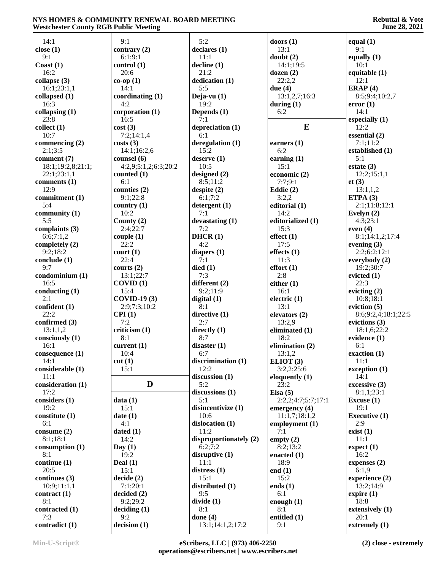| 14:1              | 9:1                  | 5:2                    | doors $(1)$        | equal $(1)$          |
|-------------------|----------------------|------------------------|--------------------|----------------------|
| close $(1)$       | contrary $(2)$       | declares(1)            | 13:1               | 9:1                  |
| 9:1               | 6:1;9:1              | 11:1                   | doubt $(2)$        |                      |
|                   |                      |                        |                    | equally $(1)$        |
| Coast $(1)$       | control(1)           | $\text{decline} (1)$   | 14:1;19:5          | 10:1                 |
| 16:2              | 20:6                 | 21:2                   | dozen $(2)$        | equitable $(1)$      |
| collapse $(3)$    | $co-op(1)$           | dedication (1)         | 22:2,2             | 12:1                 |
| 16:1;23:1,1       | 14:1                 | 5:5                    | due $(4)$          | ERAP(4)              |
| collapsed (1)     | coordinating (1)     | Deja-vu $(1)$          | 13:1,2,7;16:3      | 8:5;9:4;10:2,7       |
| 16:3              | 4:2                  | 19:2                   | during $(1)$       | error(1)             |
| collapsing $(1)$  | corporation (1)      | Depends (1)            | 6:2                | 14:1                 |
| 23:8              | 16:5                 | 7:1                    |                    | especially $(1)$     |
| collect(1)        | cost(3)              | depreciation (1)       | E                  | 12:2                 |
| 10:7              | 7:2;14:1,4           | 6:1                    |                    | essential (2)        |
| commencing (2)    | costs(3)             | deregulation (1)       | earners $(1)$      | 7:1;11:2             |
| 2:1;3:5           | 14:1;16:2,6          | 15:2                   | 6:2                | established (1)      |
| comment (7)       | counsel (6)          | degree(1)              | earning $(1)$      | 5:1                  |
| 18:1;19:2,8;21:1; | 4:2,9;5:1,2;6:3;20:2 | 10:5                   | 15:1               | estate $(3)$         |
| 22:1;23:1,1       | counted $(1)$        | designed $(2)$         | economic $(2)$     | 12:2;15:1,1          |
|                   | 6:1                  | 8:5;11:2               | 7:7:9:1            |                      |
| comments $(1)$    |                      |                        |                    | et(3)                |
| 12:9              | counties $(2)$       | despite $(2)$          | Eddie $(2)$        | 13:1,1,2             |
| commitment (1)    | 9:1;22:8             | 6:1;7:2                | 3:2,2              | ETPA $(3)$           |
| 5:4               | country $(1)$        | detergent(1)           | editorial (1)      | 2:1;11:8;12:1        |
| community $(1)$   | 10:2                 | 7:1                    | 14:2               | Evelyn $(2)$         |
| 5:5               | County $(2)$         | devastating (1)        | editorialized (1)  | 4:3;23:1             |
| complaints (3)    | 2:4:22:7             | 7:2                    | 15:3               | even $(4)$           |
| 6:6;7:1,2         | couple(1)            | DHCR(1)                | effect(1)          | 8:1;14:1,2;17:4      |
| completely $(2)$  | 22:2                 | 4:2                    | 17:5               | evening $(3)$        |
| 9:2;18:2          | court(1)             | diapers $(1)$          | effects $(1)$      | 2:2;6:2;12:1         |
| conclude (1)      | 22:4                 | 7:1                    | 11:3               | everybody $(2)$      |
| 9:7               | courts $(2)$         | died(1)                | effort(1)          | 19:2;30:7            |
| condominium (1)   | 13:1;22:7            | 7:3                    | 2:8                | evicted $(1)$        |
| 16:5              | COVID(1)             | different (2)          | either $(1)$       | 22:3                 |
|                   | 15:4                 |                        |                    |                      |
| conducting $(1)$  |                      | 9:2;11:9               | 16:1               | evicting $(2)$       |
| 2:1               | <b>COVID-19(3)</b>   | digital $(1)$          | electric $(1)$     | 10:8;18:1            |
| confident (1)     | 2:9;7:3;10:2         | 8:1                    | 13:1               | eviction $(5)$       |
| 22:2              | CPI(1)               | directive (1)          | elevators $(2)$    | 8:6;9:2,4;18:1;22:5  |
| confirmed (3)     | 7:2                  | 2:7                    | 13:2,9             | evictions $(3)$      |
| 13:1,1,2          | criticism(1)         | directly $(1)$         | eliminated (1)     | 18:1,6;22:2          |
| consciously (1)   | 8:1                  | 8:7                    | 18:2               | evidence $(1)$       |
| 16:1              | current $(1)$        | disaster(1)            | elimination (2)    | 6:1                  |
| consequence $(1)$ | 10:4                 | 6:7                    | 13:1,2             | exaction $(1)$       |
| 14:1              | cut(1)               | discrimination $(1)$   | ELIOT(3)           | 11:1                 |
| considerable (1)  | 15:1                 | 12:2                   | 3:2,2;25:6         | exception (1)        |
| 11:1              |                      | discussion (1)         | eloquently $(1)$   | 14:1                 |
| consideration (1) | D                    | 5:2                    | 23:2               | excessive(3)         |
| 17:2              |                      |                        |                    | 8:1,1;23:1           |
|                   |                      | discussions (1)        | Elsa $(5)$         |                      |
| considers (1)     | data(1)              | 5:1                    | 2:2,2;4:7;5:7;17:1 | Excuse $(1)$         |
| 19:2              | 15:1                 | disincentivize (1)     | emergency (4)      | 19:1                 |
| constitute (1)    | date(1)              | 10:6                   | 11:1,7;18:1,2      | <b>Executive (1)</b> |
| 6:1               | 4:1                  | dislocation (1)        | employment (1)     | 2:9                  |
| consume $(2)$     | dated $(1)$          | 11:2                   | 7:1                | exist(1)             |
| 8:1;18:1          | 14:2                 | disproportionately (2) | empty $(2)$        | 11:1                 |
| consumption (1)   | Day(1)               | 6:2;7:2                | 8:2;13:2           | expect(1)            |
| 8:1               | 19:2                 | disruptive $(1)$       | enacted $(1)$      | 16:2                 |
| continue(1)       | Deal $(1)$           | 11:1                   | 18:9               | expenses $(2)$       |
| 20:5              | 15:1                 | distress $(1)$         | end $(1)$          | 6:1,9                |
| continues $(3)$   | decide(2)            | 15:1                   | 15:2               | experience $(2)$     |
| 10:9;11:1,1       | 7:1;20:1             | distributed (1)        | ends $(1)$         | 13:2;14:9            |
| contract(1)       | decided (2)          | 9:5                    | 6:1                | expire $(1)$         |
| 8:1               |                      |                        |                    | 18:8                 |
|                   | 9:2;29:2             | divide(1)              | enough $(1)$       |                      |
| contracted (1)    | deciding (1)         | 8:1                    | 8:1                | extensively (1)      |
| 7:3               | 9:2                  | done $(4)$             | entitled (1)       | 20:1                 |
| contradict (1)    | decision (1)         | 13:1;14:1,2;17:2       | 9:1                | extremely (1)        |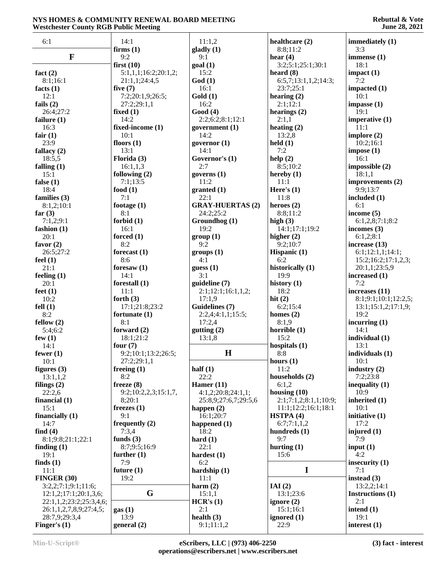| 6:1                             | 14:1                       | 11:1,2                  | healthcare (2)             | immediately (1)            |
|---------------------------------|----------------------------|-------------------------|----------------------------|----------------------------|
|                                 | firms $(1)$                | gladly (1)              | 8:8;11:2                   | 3:3                        |
| $\mathbf F$                     | 9:2                        | 9:1                     | hear $(4)$                 | immense $(1)$              |
|                                 | first $(10)$               | goal(1)                 | 3:2;5:1;25:1;30:1          | 18:1                       |
| fact $(2)$                      | 5:1,1,1;16:2;20:1,2;       | 15:2                    | heard $(8)$                | impact(1)                  |
| 8:1;16:1                        | 21:1,1;24:4,5              | God(1)                  | 6:5,7;13:1,1,2;14:3;       | 7:2                        |
| facts $(1)$                     | five $(7)$                 | 16:1                    | 23:7;25:1                  | impacted $(1)$             |
| 12:1                            | 7:2;20:1,9;26:5;           | Gold(1)<br>16:2         | hearing $(2)$              | 10:1                       |
| fails $(2)$<br>26:4;27:2        | 27:2;29:1,1<br>fixed $(1)$ | Good(4)                 | 2:1;12:1<br>hearings $(2)$ | impasse(1)<br>19:1         |
| failure $(1)$                   | 14:2                       | 2:2;6:2;8:1;12:1        | 2:1,1                      | imperative $(1)$           |
| 16:3                            | fixed-income (1)           | government (1)          | heating $(2)$              | 11:1                       |
| fair $(1)$                      | 10:1                       | 14:2                    | 13:2,8                     | implore $(2)$              |
| 23:9                            | floors $(1)$               | governor $(1)$          | $\text{held}(1)$           | 10:2;16:1                  |
| fallacy $(2)$                   | 13:1                       | 14:1                    | 7:2                        | impose(1)                  |
| 18:5,5                          | Florida (3)                | Governor's (1)          | help(2)                    | 16:1                       |
| falling $(1)$                   | 16:1,1,3                   | 2:7                     | 8:5;10:2                   | impossible (2)             |
| 15:1                            | following $(2)$            | governs $(1)$           | hereby $(1)$               | 18:1,1                     |
| false $(1)$                     | 7:1;13:5                   | 11:2                    | 11:1                       | improvements (2)           |
| 18:4                            | food $(1)$                 | granted (1)             | Here's $(1)$               | 9:9:13:7                   |
| families $(3)$                  | 7:1                        | 22:1                    | 11:8                       | included (1)               |
| 8:1,2;10:1                      | footage $(1)$              | <b>GRAY-HUERTAS (2)</b> | heroes $(2)$               | 6:1                        |
| far $(3)$                       | 8:1                        | 24:2;25:2               | 8:8;11:2                   | income $(5)$               |
| 7:1,2;9:1                       | forbid $(1)$               | Groundhog (1)           | high $(3)$                 | 6:1,2,8;7:1;8:2            |
| fashion (1)                     | 16:1<br>forced $(1)$       | 19:2                    | 14:1;17:1;19:2             | incomes $(3)$<br>6:1,2;8:1 |
| 20:1<br>favor $(2)$             | 8:2                        | group(1)<br>9:2         | higher $(2)$<br>9:2;10:7   | increase (13)              |
| 26:5;27:2                       | forecast $(1)$             | groups (1)              | Hispanic (1)               | 6:1;12:1,1;14:1;           |
| feel $(1)$                      | 8:6                        | 4:1                     | 6:2                        | 15:2;16:2;17:1,2,3;        |
| 21:1                            | foresaw $(1)$              | guess $(1)$             | historically (1)           | 20:1,1;23:5,9              |
| feeling $(1)$                   | 14:1                       | 3:1                     | 19:9                       | increased (1)              |
| 20:1                            | forestall $(1)$            | guideline (7)           | history $(1)$              | 7:2                        |
| feet $(1)$                      | 11:1                       | 2:1;12:1;16:1,1,2;      | 18:2                       | increases (11)             |
| 10:2                            | forth $(3)$                | 17:1,9                  | hit $(2)$                  | 8:1;9:1;10:1;12:2,5;       |
| fell(1)                         | 17:1;21:8;23:2             | Guidelines (7)          | 6:2;15:4                   | 13:1;15:1,2;17:1,9;        |
| 8:2                             | fortunate (1)              | 2:2,4;4:1,1;15:5;       | homes $(2)$                | 19:2                       |
| fellow $(2)$                    | 8:1                        | 17:2,4                  | 8:1,9                      | incurring $(1)$            |
| 5:4;6:2                         | forward (2)<br>18:1;21:2   | gutting (2)             | horrible $(1)$<br>15:2     | 14:1                       |
| few $(1)$<br>14:1               | four $(7)$                 | 13:1,8                  | hospitals $(1)$            | individual (1)<br>13:1     |
| fewer $(1)$                     | 9:2;10:1;13:2;26:5;        | $\mathbf H$             | 8:8                        | individuals (1)            |
| 10:1                            | 27:2;29:1,1                |                         | hours $(1)$                | 10:1                       |
| figures $(3)$                   | freeing $(1)$              | half $(1)$              | 11:2                       | industry $(2)$             |
| 13:1,1,2                        | 8:2                        | 22:2                    | households (2)             | 7:2;23:8                   |
| filings $(2)$                   | freeze $(8)$               | Hamer $(11)$            | 6:1,2                      | inequality $(1)$           |
| 22:2,6                          | 9:2;10:2,2,3;15:1,7,       | 4:1,2;20:8;24:1,1;      | housing $(10)$             | 10:9                       |
| financial (1)                   | 8;20:1                     | 25:8,9;27:6,7;29:5,6    | 2:1;7:1,2;8:1,1;10:9;      | inherited (1)              |
| 15:1                            | freezes $(1)$              | happen $(2)$            | 11:1;12:2;16:1;18:1        | 10:1                       |
| financially $(1)$               | 9:1                        | 16:1;20:7               | HSTPA(4)                   | initiative (1)             |
| 14:7                            | frequently (2)             | happened $(1)$          | 6:7;7:1,1,2                | 17:2                       |
| find $(4)$<br>8:1;9:8;21:1;22:1 | 7:3,4<br>funds $(3)$       | 18:2<br>hard $(1)$      | hundreds $(1)$<br>9:7      | injured $(1)$<br>7:9       |
| finding $(1)$                   | 8:7;9:5;16:9               | 22:1                    | hurting $(1)$              | input $(1)$                |
| 19:1                            | further $(1)$              | hardest $(1)$           | 15:6                       | 4:2                        |
| finds $(1)$                     | 7:9                        | 6:2                     |                            | insecurity $(1)$           |
| 11:1                            | future $(1)$               | hardship $(1)$          | I                          | 7:1                        |
| <b>FINGER (30)</b>              | 19:2                       | 11:1                    |                            | instead $(3)$              |
| 3:2,2;7:1;9:1;11:6;             |                            | harm $(2)$              | IAI(2)                     | 13:2,2;14:1                |
| 12:1,2;17:1;20:1,3,6;           | G                          | 15:1,1                  | 13:1;23:6                  | Instructions (1)           |
| 22:1,1,2;23:2;25:3,4,6;         |                            | HCR's (1)               | ignore $(2)$               | 2:1                        |
| 26:1,1,2,7,8,9;27:4,5;          | gas(1)                     | 2:1                     | 15:1;16:1                  | intend $(1)$               |
| 28:7,9;29:3,4                   | 13:9                       | health $(3)$            | ignored (1)                | 19:1                       |
| Finger's $(1)$                  | general (2)                | 9:1;11:1,2              | 22:9                       | interest $(1)$             |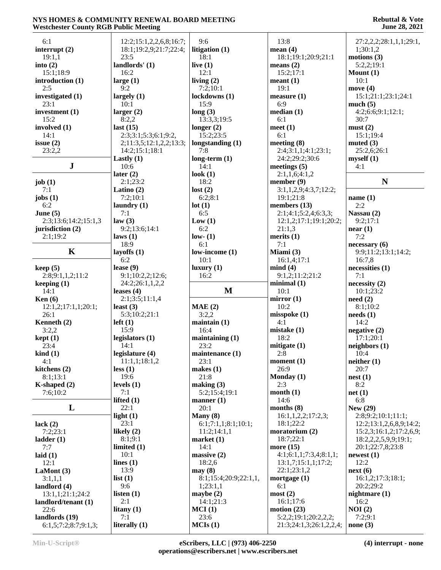| 6:1                                    | 12:2;15:1,2,2,6,8;16:7;   | 9:6                   | 13:8                                            | 27:2,2,2;28:1,1,1;29:1, |
|----------------------------------------|---------------------------|-----------------------|-------------------------------------------------|-------------------------|
| interrupt $(2)$                        | 18:1;19:2,9;21:7;22:4;    | litigation (1)        | mean $(4)$                                      | 1;30:1,2                |
| 19:1,1                                 | 23:5                      | 18:1                  | 18:1;19:1;20:9;21:1                             | motions $(3)$           |
|                                        |                           |                       |                                                 |                         |
| into $(2)$                             | landlords' (1)            | live $(1)$            | means $(2)$                                     | 5:2,2;19:1              |
| 15:1;18:9                              | 16:2                      | 12:1                  | 15:2;17:1                                       | Mount $(1)$             |
| introduction (1)                       | large $(1)$               | living $(2)$          | mean(1)                                         | 10:1                    |
| 2:5                                    | 9:2                       | 7:2;10:1              | 19:1                                            | move $(4)$              |
| investigated (1)                       | largely $(1)$             | lockdowns (1)         | measure $(1)$                                   | 15:1;21:1;23:1;24:1     |
| 23:1                                   | 10:1                      | 15:9                  | 6:9                                             | much(5)                 |
| investment $(1)$                       | larger $(2)$              | long(3)               | median(1)                                       | 4:2;6:6;9:1;12:1;       |
| 15:2                                   | 8:2,2                     | 13:3,3;19:5           | 6:1                                             | 30:7                    |
| involved (1)                           | last $(15)$               | longer $(2)$          | meet $(1)$                                      | must(2)                 |
| 14:1                                   | 2:3;3:1;5:3;6:1;9:2,      | 15:2;23:5             | 6:1                                             | 15:1;19:4               |
| issue $(2)$                            | 2;11:3,5;12:1,2,2;13:3;   | longstanding (1)      | meeting $(8)$                                   | muted $(3)$             |
| 23:2,2                                 | 14:2;15:1;18:1            | 7:8                   | 2:4;3:1,1;4:1;23:1;                             | 25:2,6;26:1             |
|                                        | Lastly $(1)$              | $long-term (1)$       | 24:2;29:2;30:6                                  | myself(1)               |
| ${\bf J}$                              | 10:6                      | 14:1                  | meetings $(5)$                                  | 4:1                     |
|                                        | later $(2)$               | look $(1)$            | 2:1,1,6;4:1,2                                   |                         |
|                                        | 2:1;23:2                  | 18:2                  | member $(9)$                                    | N                       |
| job $(1)$                              |                           |                       |                                                 |                         |
| 7:1                                    | Latino $(2)$              | lost(2)               | 3:1,1,2,9;4:3,7;12:2;                           |                         |
| jobs $(1)$                             | 7:2;10:1                  | 6:2;8:1               | 19:1;21:8                                       | name $(1)$              |
| 6:2                                    | laundry $(1)$             | lot(1)                | members (13)                                    | 2:2                     |
| June $(5)$                             | 7:1                       | 6:5                   | 2:1;4:1;5:2,4;6:3,3;                            | Nassau (2)              |
| 2:3;13:6;14:2;15:1,3                   | law(3)                    | Low(1)                | 12:1,2;17:1;19:1;20:2;                          | 9:2;17:1                |
| jurisdiction (2)                       | 9:2;13:6;14:1             | 6:2                   | 21:1,3                                          | near(1)                 |
| 2:1;19:2                               | laws(1)                   | low- $(1)$            | merits $(1)$                                    | 7:2                     |
|                                        | 18:9                      | 6:1                   | 7:1                                             | necessary(6)            |
| K                                      | layoffs $(1)$             | low-income (1)        | Miami (3)                                       | 9:9;11:2;13:1;14:2;     |
|                                        | 6:2                       | 10:1                  | 16:1,4;17:1                                     | 16:7,8                  |
| keep(5)                                | lease $(9)$               | luxury(1)             | mind(4)                                         | necessities (1)         |
| 2:8;9:1,1,2;11:2                       | 9:1;10:2,2;12:6;          | 16:2                  | 9:1,2;11:2;21:2                                 | 7:1                     |
| keeping $(1)$                          | 24:2;26:1,1,2,2           |                       | minimal(1)                                      | necessity(2)            |
| 14:1                                   | leases $(4)$              | M                     | 10:1                                            | 10:1;23:2               |
| Ken $(6)$                              | 2:1;3:5;11:1,4            |                       | mirror $(1)$                                    | need(2)                 |
| 12:1,2;17:1,1;20:1;                    | least $(3)$               |                       |                                                 |                         |
|                                        |                           | MAE(2)                | 10:2                                            | 8:1;10:2                |
| 26:1                                   | 5:3;10:2;21:1             | 3:2,2                 | misspoke(1)                                     | needs(1)                |
|                                        | $left(1\right)$           |                       | 4:1                                             | 14:2                    |
| Kenneth (2)                            | 15:9                      | $main(1)$<br>16:4     |                                                 |                         |
| 3:2,2                                  |                           |                       | mistake $(1)$<br>18:2                           | negative $(2)$          |
| kept(1)                                | legislators $(1)$<br>14:1 | maintaining $(1)$     |                                                 | 17:1;20:1               |
| 23:4                                   |                           | 23:2                  | mitigate $(1)$                                  | neighbors (1)           |
| $\operatorname{kind}(1)$               | legislature (4)           | maintenance (1)       | 2:8                                             | 10:4                    |
| 4:1                                    | 11:1,1;18:1,2             | 23:1                  | moment (1)                                      | neither(1)              |
| kitchens (2)                           | less(1)                   | makes $(1)$           | 26:9                                            | 20:7                    |
| 8:1;13:1                               | 19:6                      | 21:8                  | Monday (1)                                      | nest(1)                 |
| K-shaped $(2)$                         | levels $(1)$              | making (3)            | 2:3                                             | 8:2                     |
| 7:6;10:2                               | 7:1                       | 5:2;15:4;19:1         | month(1)                                        | net(1)                  |
|                                        | lifted $(1)$              | manner $(1)$          | 14:6                                            | 6:8                     |
| L                                      | 22:1                      | 20:1                  | months $(8)$                                    | <b>New (29)</b>         |
|                                        | light $(1)$               | Many $(8)$            | 16:1, 1, 2, 2; 17:2, 3;                         | 2:8;9:2;10:1;11:1;      |
| lack $(2)$                             | 23:1                      | 6:1;7:1,1;8:1;10:1;   | 18:1;22:2                                       | 12:2;13:1,2,6,8,9;14:2; |
| 7:2;23:1                               | likely $(2)$              | 11:2;14:1,1           | moratorium (2)                                  | 15:2,3;16:1,2;17:2,6,9; |
| ladder(1)                              | 8:1;9:1                   | market(1)             | 18:7;22:1                                       | 18:2,2,2,5,9,9;19:1;    |
| 7:7                                    | limited $(1)$             | 14:1                  | more $(15)$                                     | 20:1;22:7,8;23:8        |
| laid $(1)$                             | 10:1                      | massive(2)            | 4:1;6:1,1;7:3,4;8:1,1;                          | newest(1)               |
| 12:1                                   | lines $(1)$               | 18:2,6                | 13:1,7;15:1,1;17:2;                             | 12:2                    |
| LaMont (3)                             | 13:9                      | may(8)                | 22:1;23:1,2                                     | next(6)                 |
| 3:1,1,1                                | list(1)                   | 8:1;15:4;20:9;22:1,1, | mortgage $(1)$                                  | 16:1,2;17:3;18:1;       |
| landlord (4)                           | 9:6                       | 1;23:1,1              | 6:1                                             | 20:2;29:2               |
| 13:1,1;21:1;24:2                       | listen $(1)$              | maybe $(2)$           | most(2)                                         | nightmare $(1)$         |
| landlord/tenant (1)                    | 2:1                       | 14:1;21:3             | 16:1;17:6                                       | 16:2                    |
| 22:6                                   | litany $(1)$              | MCI(1)                | motion $(23)$                                   | NOI(2)                  |
| landlords (19)<br>6:1,5;7:2;8:7;9:1,3; | 7:1<br>literally $(1)$    | 23:6<br>MCIs(1)       | 5:2,2;19:1;20:2,2,2;<br>21:3;24:1,3;26:1,2,2,4; | 7:2;9:1<br>none $(3)$   |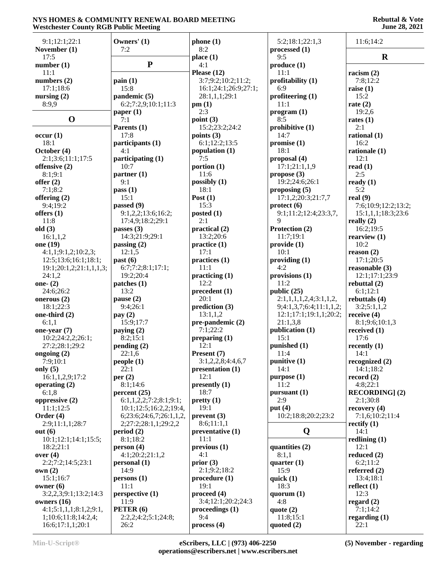#### **Rebuttal & Vote June 28, 2021**

| 9:1;12:1;22:1                                 | Owners' (1)                  | phone(1)                                         | 5:2;18:1;22:1,3          | 11:6;14:2                |
|-----------------------------------------------|------------------------------|--------------------------------------------------|--------------------------|--------------------------|
| November (1)                                  | 7:2                          | 8:2                                              | processed (1)            |                          |
| 17:5                                          |                              | place(1)                                         | 9:5                      | $\mathbf R$              |
| number(1)                                     | ${\bf P}$                    | 4:1                                              | produce (1)              |                          |
| 11:1                                          |                              | Please $(12)$                                    | 11:1                     | racism $(2)$             |
| numbers $(2)$                                 | $\text{pain}(1)$             | 3:7;9:2;10:2;11:2;                               | profitability (1)        | 7:8:12:2                 |
| 17:1;18:6                                     | 15:8                         | 16:1;24:1;26:9;27:1;                             | 6:9                      | raise $(1)$              |
| nursing $(2)$                                 | pandemic (5)                 | 28:1,1,1;29:1                                    | profiteering $(1)$       | 15:2                     |
| 8:9,9                                         | 6:2;7:2,9;10:1;11:3          | pm(1)                                            | 11:1                     | rate $(2)$               |
| $\mathbf 0$                                   | paper $(1)$                  | 2:3                                              | program (1)              | 19:2,6                   |
|                                               | 7:1                          | point $(3)$                                      | 8:5                      | rates $(1)$              |
|                                               | Parents (1)                  | 15:2;23:2;24:2                                   | prohibitive $(1)$        | 2:1                      |
| occur(1)                                      | 17:8                         | points $(3)$                                     | 14:7                     | rational $(1)$           |
| 18:1                                          | participants (1)<br>4:1      | 6:1;12:2;13:5                                    | promise $(1)$<br>18:1    | 16:2                     |
| October (4)                                   |                              | population (1)<br>7:5                            | proposal (4)             | rationale (1)<br>12:1    |
| 2:1;3:6;11:1;17:5                             | participating (1)<br>10:7    | portion $(1)$                                    | 17:1;21:1,1,9            | read $(1)$               |
| offensive (2)<br>8:1;9:1                      | partner(1)                   | 11:6                                             | propose $(3)$            | 2:5                      |
| offer $(2)$                                   | 9:1                          | possibly $(1)$                                   | 19:2;24:6;26:1           | ready $(1)$              |
| 7:1;8:2                                       | pass(1)                      | 18:1                                             | proposing $(5)$          | 5:2                      |
| offering (2)                                  | 15:1                         | Post $(1)$                                       | 17:1,2;20:3;21:7,7       | real $(9)$               |
| 9:4;19:2                                      | passed (9)                   | 15:3                                             | $\text{protect } (6)$    | 7:6;10:9;12:2;13:2;      |
| offers $(1)$                                  | 9:1,2,2;13:6;16:2;           | posted $(1)$                                     | 9:1;11:2;12:4;23:3,7,    | 15:1,1,1;18:3;23:6       |
| 11:8                                          | 17:4,9;18:2;29:1             | 2:1                                              | 9                        | really $(2)$             |
| old(3)                                        | passes $(3)$                 | practical (2)                                    | Protection (2)           | 16:2;19:5                |
| 16:1,1,2                                      | 14:3;21:9;29:1               | 13:2;20:6                                        | 11:7:19:1                | rearview $(1)$           |
| one (19)                                      | passing $(2)$                | practive(1)                                      | provide(1)               | 10:2                     |
| 4:1,1;9:1,2;10:2,3;                           | 12:1,5                       | 17:1                                             | 10:1                     | reason $(2)$             |
| 12:5;13:6;16:1;18:1;                          | past(6)                      | practices (1)                                    | providing(1)             | 17:1;20:5                |
| 19:1;20:1,2;21:1,1,1,3;                       | 6:7;7:2;8:1;17:1;            | 11:1                                             | 4:2                      | reasonable (3)           |
| 24:1,2                                        | 19:2;20:4                    | practicing (1)                                   | provisions (1)           | 12:1;17:1;23:9           |
| one- $(2)$                                    | $\mathbf{patches}$ (1)       | 12:2                                             | 11:2                     | rebuttal $(2)$           |
| 24:6;26:2                                     | 13:2                         | precedent(1)                                     | public $(25)$            | 6:1;12:1                 |
| onerous $(2)$                                 | pause $(2)$                  | 20:1                                             | 2:1,1,1,1,2,4;3:1,1,2,   | rebuttals (4)            |
| 18:1;22:3                                     | 9:4;26:1                     | prediction (3)                                   | 9;4:1,3,7;6:4;11:1,1,2;  | 3:2;5:1,1,2              |
| one-third (2)                                 | pay $(2)$                    | 13:1,1,2                                         | 12:1;17:1;19:1,1;20:2;   | receive $(4)$            |
| 6:1,1                                         | 15:9;17:7                    | pre-pandemic (2)                                 | 21:1,3,8                 | 8:1;9:6;10:1,3           |
| one-year $(7)$                                | paying $(2)$                 | 7:1;22:2                                         | publication (1)          | received $(1)$           |
| 10:2;24:2,2;26:1;                             | 8:2;15:1                     | preparing $(1)$                                  | 15:1                     | 17:6                     |
| 27:2;28:1;29:2                                | pending(2)                   | 12:1                                             | punished (1)             | recently $(1)$           |
| ongoing (2)                                   | 22:1,6                       | Present (7)                                      | 11:4                     | 14:1                     |
| 7:9;10:1                                      | people(1)                    | 3:1,2,2,8;4:4,6,7                                | punitive $(1)$           | recognized $(2)$         |
| only $(5)$                                    | 22:1                         | presentation (1)                                 | 14:1                     | 14:1;18:2                |
| 16:1,1,2,9;17:2                               | per $(2)$                    | 12:1                                             | purpose (1)              | record $(2)$             |
| operating $(2)$                               | 8:1;14:6                     | presently (1)                                    | 11:2                     | 4:8;22:1                 |
| 6:1,8                                         | percent(25)                  | 18:7                                             | pursuant $(1)$           | <b>RECORDING</b> ] (2)   |
| oppressive $(2)$                              | 6:1, 1, 2, 2; 7:2; 8:1; 9:1; | pretty(1)                                        | 2:9                      | 2:1;30:8                 |
| 11:1;12:5                                     | 10:1;12:5;16:2,2;19:4,       | 19:1                                             | put $(4)$                | recovery $(4)$           |
| Order $(4)$                                   | 6;23:6;24:6,7;26:1,1,2,      | prevent(3)                                       | 10:2;18:8;20:2;23:2      | 7:1,6;10:2;11:4          |
| 2:9;11:1,1;28:7                               | 2;27:2;28:1,1;29:2,2         | 8:6;11:1,1                                       |                          | rectify $(1)$            |
| out $(6)$                                     | period(2)                    | preventative (1)                                 | Q                        | 14:1                     |
| 10:1;12:1;14:1;15:5;                          | 8:1;18:2                     | 11:1                                             |                          | redlining $(1)$          |
| 18:2;21:1                                     | person(4)                    | previous <sub>1</sub>                            | quantities (2)           | 12:1                     |
| over $(4)$                                    | 4:1;20:2;21:1,2              | 4:1                                              | 8:1,1                    | reduced $(2)$            |
| 2:2;7:2;14:5;23:1                             | personal (1)                 | prior $(3)$                                      | quarter $(1)$            | 6:2;11:2                 |
| own(2)                                        | 14:9                         | 2:1;9:2;18:2                                     | 15:9                     | referred $(2)$           |
| 15:1;16:7                                     | persons(1)                   | procedure(1)                                     | quick $(1)$              | 13:4;18:1                |
| owner $(6)$                                   | 11:1                         | 19:1                                             | 18:3                     | reflect $(1)$            |
| 3:2,2,3;9:1;13:2;14:3                         | perspective (1)              | proceed (4)                                      | quorum $(1)$             | 12:3                     |
| owners $(16)$                                 | 11:9<br>PETER (6)            | 3:4;12:1;20:2;24:3<br>proceedings <sub>(1)</sub> | 4:8                      | regard $(2)$<br>7:1;14:2 |
| 4:1;5:1,1,1;8:1,2;9:1,<br>1;10:6;11:8;14:2,4; | 2:2,2;4:2;5:1;24:8;          | 9:4                                              | quote $(2)$<br>11:8;15:1 | regarding $(1)$          |
| 16:6;17:1,1;20:1                              | 26:2                         | process (4)                                      | quoted $(2)$             | 22:1                     |
|                                               |                              |                                                  |                          |                          |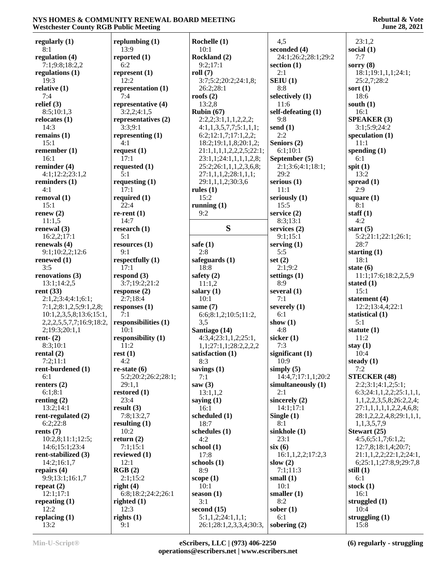#### **Rebuttal & Vote June 28, 2021**

| regularly $(1)$                    | replumbing $(1)$     | Rochelle (1)             | 4,5                 | 23:1,2                           |
|------------------------------------|----------------------|--------------------------|---------------------|----------------------------------|
| 8:1                                | 13:9                 | 10:1                     | seconded (4)        | social $(1)$                     |
| regulation (4)                     | reported (1)         | Rockland (2)             | 24:1;26:2;28:1;29:2 | 7:7                              |
| 7:1;9:8;18:2,2                     | 6:2                  | 9:2;17:1                 | section $(1)$       | sorry $(8)$                      |
| regulations $(1)$                  | represent (1)        | roll $(7)$               | 2:1                 | 18:1;19:1,1,1;24:1;              |
| 19:3                               | 12:2                 | 3:7;5:2;20:2;24:1,8;     | SEIU(1)             | 25:2,7;28:2                      |
| relative $(1)$                     | representation (1)   | 26:2;28:1                | 8:8                 | sort $(1)$                       |
| 7:4                                | 7:4                  | roofs $(2)$              | selectively (1)     | 18:6                             |
| relief $(3)$                       | representative (4)   | 13:2,8                   | 11:6                | south $(1)$                      |
| 8:5;10:1,3                         | 3:2,2;4:1,5          | Rubin $(67)$             | self-defeating (1)  | 16:1                             |
| relocates (1)                      | representatives (2)  | 2:2,2;3:1,1,1,2,2,2;     | 9:8                 | <b>SPEAKER (3)</b>               |
| 14:3                               | 3:3;9:1              | 4:1,1,3,5,7,7;5:1,1,1;   | send $(1)$          | 3:1;5:9;24:2                     |
| remains $(1)$                      | representing $(1)$   | 6:2;12:1,7;17:1,2,2;     | 2:2                 | speculation $(1)$                |
| 15:1                               | 4:1                  | 18:2;19:1,1,8;20:1,2;    | Seniors (2)         | 11:1                             |
| remember $(1)$                     | request $(1)$        | 21:1,1,1,1,2,2,2,5;22:1; | 6:1;10:1            | spending $(1)$                   |
| 16:1                               | 17:1                 | 23:1,1;24:1,1,1,1,2,8;   | September (5)       | 6:1                              |
| reminder $(4)$                     | requested $(1)$      | 25:2;26:1,1,1,2,3,6,8;   | 2:1;3:6;4:1;18:1;   | spit $(1)$                       |
| 4:1;12:2;23:1,2                    | 5:1                  | 27:1,1,1,2;28:1,1,1;     | 29:2                | 13:2                             |
| reminders $(1)$                    | requesting $(1)$     | 29:1,1,1,2;30:3,6        | serious $(1)$       | spread $(1)$                     |
| 4:1                                | 17:1                 | rules $(1)$              | 11:1                | 2:9                              |
| removal (1)                        | required $(1)$       | 15:2                     | seriously (1)       | square $(1)$                     |
| 15:1                               | 22:4                 | running $(1)$            | 15:5                | 8:1                              |
| renew $(2)$                        | $re$ -rent $(1)$     | 9:2                      | service $(2)$       | staff $(1)$                      |
| 11:1.5                             | 14:7                 |                          | 8:3;13:1            | 4:2                              |
| renewal $(3)$                      | research $(1)$       | S                        | services $(2)$      | start $(5)$                      |
| 16:2,2;17:1                        | 5:1                  |                          | 9:1;15:1            | 5:2;21:1;22:1;26:1;              |
| renewals $(4)$                     | resources(1)         | safe $(1)$               | serving $(1)$       | 28:7                             |
| 9:1;10:2,2;12:6                    | 9:1                  | 2:8                      | 5:5                 | starting $(1)$                   |
| renewed $(1)$                      | respectfully (1)     | safeguards (1)           | set $(2)$           | 18:1                             |
| 3:5                                | 17:1                 | 18:8                     | 2:1;9:2             | state $(6)$                      |
| renovations $(3)$                  | respond $(3)$        | safety $(2)$             | settings $(1)$      | 11:1;17:6;18:2,2,5,9             |
| 13:1;14:2,5                        | 3:7;19:2;21:2        | 11:1,2                   | 8:9                 | stated $(1)$                     |
| rent $(33)$                        | response $(2)$       | salary $(1)$             | several $(1)$       | 15:1                             |
| 2:1,2;3:4;4:1;6:1;                 | 2:7:18:4             | 10:1                     | 7:1                 | statement $(4)$                  |
| 7:1,2;8:1,2,5;9:1,2,8;             | responses $(1)$      | same $(7)$               | severely $(1)$      | 12:2;13:4,4;22:1                 |
| 10:1,2,3,5,8;13:6;15:1,            | 7:1                  | 6:6;8:1,2;10:5;11:2,     | 6:1                 | statistical (1)                  |
| 2, 2, 2, 5, 5, 7, 7; 16: 9; 18: 2, | responsibilities (1) | 3,5                      | show $(1)$          | 5:1                              |
| 2;19:3;20:1,1                      | 10:1                 | Santiago (14)            | 4:8                 | statute $(1)$                    |
| rent- $(2)$                        | responsibility (1)   | 4:3,4;23:1,1,2;25:1,     | sicker $(1)$        | 11:2                             |
| 8:3;10:1                           | 11:2                 | 1,1;27:1,1;28:2,2,2,2    | 7:3                 | stay $(1)$                       |
| rental $(2)$                       | rest(1)              | satisfaction (1)         | significant $(1)$   | 10:4                             |
| 7:2;11:1                           | 4:2                  | 8:3                      | 10:9                | steady $(1)$                     |
| rent-burdened (1)                  | $re-state(6)$        | savings $(1)$            | simply $(5)$        | 7:2                              |
| 6:1                                | 5:2;20:2;26:2;28:1;  | 7:1                      | 14:4,7;17:1,1;20:2  | <b>STECKER (48)</b>              |
| renters $(2)$                      | 29:1,1               | saw $(3)$                | simultaneously (1)  | 2:2;3:1;4:1,2;5:1;               |
| 6:1;8:1                            | restored $(1)$       | 13:1,1,2                 | 2:1                 | 6:3;24:1,1,2,2;25:1,1,1,         |
| renting $(2)$                      | 23:4                 | saying $(1)$             | sincerely (2)       | 1, 1, 2, 2, 3, 5, 8; 26:2, 2, 4; |
| 13:2;14:1                          | result $(3)$         | 16:1                     | 14:1:17:1           | 27:1,1,1,1,1,2,2,4,6,8;          |
| rent-regulated (2)                 | 7:8;13:2,7           | scheduled (1)            | Single $(1)$        | 28:1,2,2,2,4,8;29:1,1,1,         |
| 6:2;22:8                           | resulting $(1)$      | 18:7                     | 8:1                 | 1,1,3,5,7,9                      |
| rents $(7)$                        | 10:2                 | schedules (1)            | sinkhole (1)        | Stewart (25)                     |
| 10:2,8;11:1;12:5;                  | return $(2)$         | 4:2                      | 23:1                | 4:5,6;5:1,7;6:1,2;               |
| 14:6;15:1;23:4                     | 7:1;15:1             | school $(1)$             | six(6)              | 12:7,8;18:1,4;20:7;              |
| rent-stabilized (3)                | reviewed $(1)$       | 17:8                     | 16:1,1,2,2;17:2,3   | 21:1,1,2,2;22:1,2;24:1,          |
| 14:2;16:1,7                        | 12:1                 | schools $(1)$            | slow $(2)$          | 6;25:1,1;27:8,9;29:7,8           |
| repairs $(4)$                      | RGB(2)               | 8:9                      | 7:1;11:3            | still $(1)$                      |
| 9:9;13:1;16:1,7                    | 2:1;15:2             | scope $(1)$              | small $(1)$         | 6:1                              |
| repeat $(2)$                       | right $(4)$          | 10:1                     | 10:1                | stock $(1)$                      |
| 12:1;17:1                          | 6:8;18:2;24:2;26:1   | season $(1)$             | smaller $(1)$       | 16:1                             |
| repeating $(1)$                    | righted $(1)$        | 3:1                      | 8:2                 | struggled $(1)$                  |
| 12:2                               | 12:3                 | second $(15)$            | sober $(1)$         | 10:4                             |
| replacing $(1)$                    | rights $(1)$         | 5:1,1,2;24:1,1,1;        | 6:1                 | struggling $(1)$                 |
| 13:2                               | 9:1                  | 26:1;28:1,2,3,3,4;30:3,  | sobering $(2)$      | 15:8                             |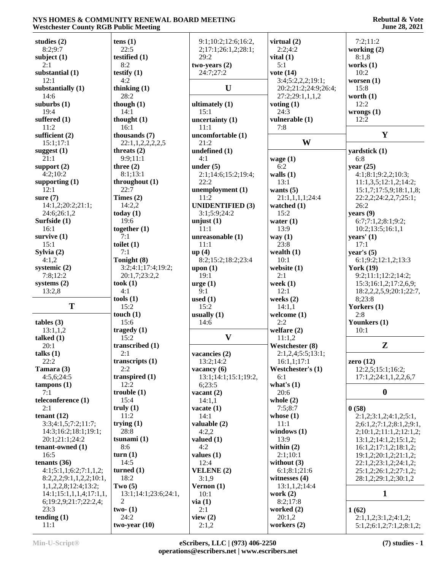| studies $(2)$              | tens(1)              | 9:1;10:2;12:6;16:2,     | virtual $(2)$        | 7:2;11:2                            |
|----------------------------|----------------------|-------------------------|----------------------|-------------------------------------|
| 8:2;9:7                    | 22:5                 | 2;17:1;26:1,2;28:1;     | 2:2;4:2              | working $(2)$                       |
| subject $(1)$              | testified (1)        | 29:2                    | vital $(1)$          | 8:1,8                               |
| 2:1                        | 8:2                  | $two-years (2)$         | 5:1                  | works $(1)$                         |
| substantial (1)            | testify $(1)$        | 24:7;27:2               | vote $(14)$          | 10:2                                |
| 12:1                       | 4:2                  |                         | 3:4;5:2,2,2;19:1;    | worsen $(1)$                        |
| substantially (1)          | thinking $(1)$       | U                       | 20:2;21:2;24:9;26:4; | 15:8                                |
| 14:6                       | 28:2                 |                         | 27:2;29:1,1,1,2      | worth $(1)$                         |
| suburbs (1)                |                      |                         |                      | 12:2                                |
| 19:4                       | though $(1)$<br>14:1 | ultimately (1)          | voting $(1)$<br>24:3 |                                     |
|                            |                      | 15:1                    |                      | wrongs $(1)$                        |
| suffered (1)               | thought $(1)$        | uncertainty $(1)$       | vulnerable (1)       | 12:2                                |
| 11:2                       | 16:1                 | 11:1                    | 7:8                  |                                     |
| sufficient (2)             | thousands (7)        | uncomfortable (1)       |                      | Y                                   |
| 15:1;17:1                  | 22:1,1,2,2,2,2,5     | 21:2                    | W                    |                                     |
| suggest (1)                | threats $(2)$        | undefined (1)           |                      | yardstick (1)                       |
| 21:1                       | 9:9;11:1             | 4:1                     | wage $(1)$           | 6:8                                 |
| support $(2)$              | three $(2)$          | under $(5)$             | 6:2                  | year $(25)$                         |
| 4:2:10:2                   | 8:1;13:1             | 2:1;14:6;15:2;19:4;     | walls $(1)$          | 4:1;8:1;9:2,2;10:3;                 |
| supporting $(1)$           | throughout (1)       | 22:2                    | 13:1                 | 11:1,3,5;12:1,2;14:2;               |
| 12:1                       | 22:7                 | unemployment (1)        | wants $(5)$          | 15:1,7;17:5,9;18:1,1,8;             |
| sure $(7)$                 | Times $(2)$          | 11:2                    | 21:1,1,1,1;24:4      | 22:2,2;24:2,2,7;25:1;               |
| 14:1,2;20:2;21:1;          | 14:2,2               | <b>UNIDENTIFIED (3)</b> | watched $(1)$        | 26:2                                |
| 24:6;26:1,2                | today $(1)$          | 3:1;5:9;24:2            | 15:2                 | years $(9)$                         |
| Surfside (1)               | 19:6                 | unjust $(1)$            | water $(1)$          | 6:7;7:1,2;8:1;9:2;                  |
|                            |                      |                         |                      |                                     |
| 16:1                       | together $(1)$       | 11:1                    | 13:9                 | 10:2;13:5;16:1,1                    |
| survive $(1)$              | 7:1                  | unreasonable (1)        | way $(1)$            | years' $(1)$                        |
| 15:1                       | toilet $(1)$         | 11:1                    | 23:8                 | 17:1                                |
| Sylvia $(2)$               | 7:1                  | up(4)                   | wealth $(1)$         | year's $(5)$                        |
| 4:1,2                      | Tonight (8)          | 8:2;15:2;18:2;23:4      | 10:1                 | 6:1;9:2;12:1,2;13:3                 |
| systemic $(2)$             | 3:2;4:1;17:4;19:2;   | upon $(1)$              | website (1)          | <b>York (19)</b>                    |
| 7:8;12:2                   | 20:1,7;23:2,2        | 19:1                    | 2:1                  | 9:2;11:1;12:2;14:2;                 |
| systems (2)                | took $(1)$           | $\text{urge} (1)$       | week $(1)$           | 15:3;16:1,2;17:2,6,9;               |
| 13:2,8                     | 4:1                  | 9:1                     | 12:1                 | 18:2,2,2,5,9;20:1;22:7,             |
|                            | tools(1)             | used $(1)$              | weeks $(2)$          | 8;23:8                              |
| T                          | 15:2                 | 15:2                    | 14:1,1               | Yorkers (1)                         |
|                            | touch $(1)$          | usually $(1)$           | welcome $(1)$        | 2:8                                 |
| tables (3)                 | 15:6                 | 14:6                    | 2:2                  | Younkers (1)                        |
| 13:1,1,2                   | tragedy $(1)$        |                         | welfare $(2)$        | 10:1                                |
| talked $(1)$               | 15:2                 | $\mathbf{V}$            | 11:1,2               |                                     |
| 20:1                       | transcribed (1)      |                         | Westchester (8)      | $\mathbf{Z}$                        |
|                            | 2:1                  |                         |                      |                                     |
| talks $(1)$                |                      | vacancies (2)           | 2:1,2,4;5:5;13:1;    |                                     |
| 22:2                       | transcripts (1)      | 13:2;14:2               | 16:1,1;17:1          | zero $(12)$                         |
| Tamara (3)                 | 2:2                  | vacancy $(6)$           | Westchester's (1)    | 12:2,5;15:1;16:2;                   |
| 4:5,6;24:5                 | transpired $(1)$     | 13:1;14:1;15:1;19:2,    | 6:1                  | 17:1,2;24:1,1,2,2,6,7               |
| $t$ ampons $(1)$           | 12:2                 | 6:23:5                  | what's $(1)$         |                                     |
| 7:1                        | trouble(1)           | vacant $(2)$            | 20:6                 | $\boldsymbol{0}$                    |
| teleconference (1)         | 15:4                 | 14:1,1                  | whole $(2)$          |                                     |
| 2:1                        | truly $(1)$          | vacate (1)              | 7:5;8:7              | 0(58)                               |
| tenant $(12)$              | 11:2                 | 14:1                    | whose $(1)$          | 2:1,2;3:1,2;4:1,2;5:1,              |
| 3:3;4:1,5;7:2;11:7;        | trying $(1)$         | valuable (2)            | 11:1                 | 2; 6: 1, 2; 7: 1, 2; 8: 1, 2; 9: 1, |
| 14:3;16:2;18:1;19:1;       | 28:8                 | 4:2,2                   | windows $(1)$        | 2;10:1,2;11:1,2;12:1,2;             |
| 20:1;21:1;24:2             | tsunami $(1)$        | valued $(1)$            | 13:9                 | 13:1,2;14:1,2;15:1,2;               |
| tenant-owned (1)           | 8:6                  | 4:2                     | within $(2)$         | 16:1,2;17:1,2;18:1,2;               |
| 16:5                       | turn(1)              | values $(1)$            | 2:1;10:1             | 19:1,2;20:1,2;21:1,2;               |
|                            |                      |                         |                      |                                     |
| tenants $(36)$             | 14:5                 | 12:4                    | without $(3)$        | 22:1,2;23:1,2;24:1,2;               |
| 4:1;5:1,1;6:2;7:1,1,2;     | turned $(1)$         | VELENE (2)              | 6:1;8:1;21:6         | 25:1,2;26:1,2;27:1,2;               |
| 8:2,2,2;9:1,1,2,2;10:1,    | 18:2                 | 3:1,9                   | witnesses $(4)$      | 28:1,2;29:1,2;30:1,2                |
| 1, 1, 2, 2, 8; 12:4; 13:2; | Two $(5)$            | Vernon $(1)$            | 13:1,1,2;14:4        |                                     |
| 14:1;15:1,1,1,4;17:1,1,    | 13:1;14:1;23:6;24:1, | 10:1                    | work $(2)$           | $\mathbf{1}$                        |
| 6;19:2,9;21:7;22:2,4;      | 2                    | via(1)                  | 8:2;17:8             |                                     |
| 23:3                       | $two-1$              | 2:1                     | worked (2)           | 1(62)                               |
| tending $(1)$              | 24:2                 | view $(2)$              | 20:1,2               | 2:1,1,2;3:1,2;4:1,2;                |
| 11:1                       | two-year $(10)$      | 2:1,2                   | workers $(2)$        | 5:1,2;6:1,2;7:1,2;8:1,2;            |
|                            |                      |                         |                      |                                     |